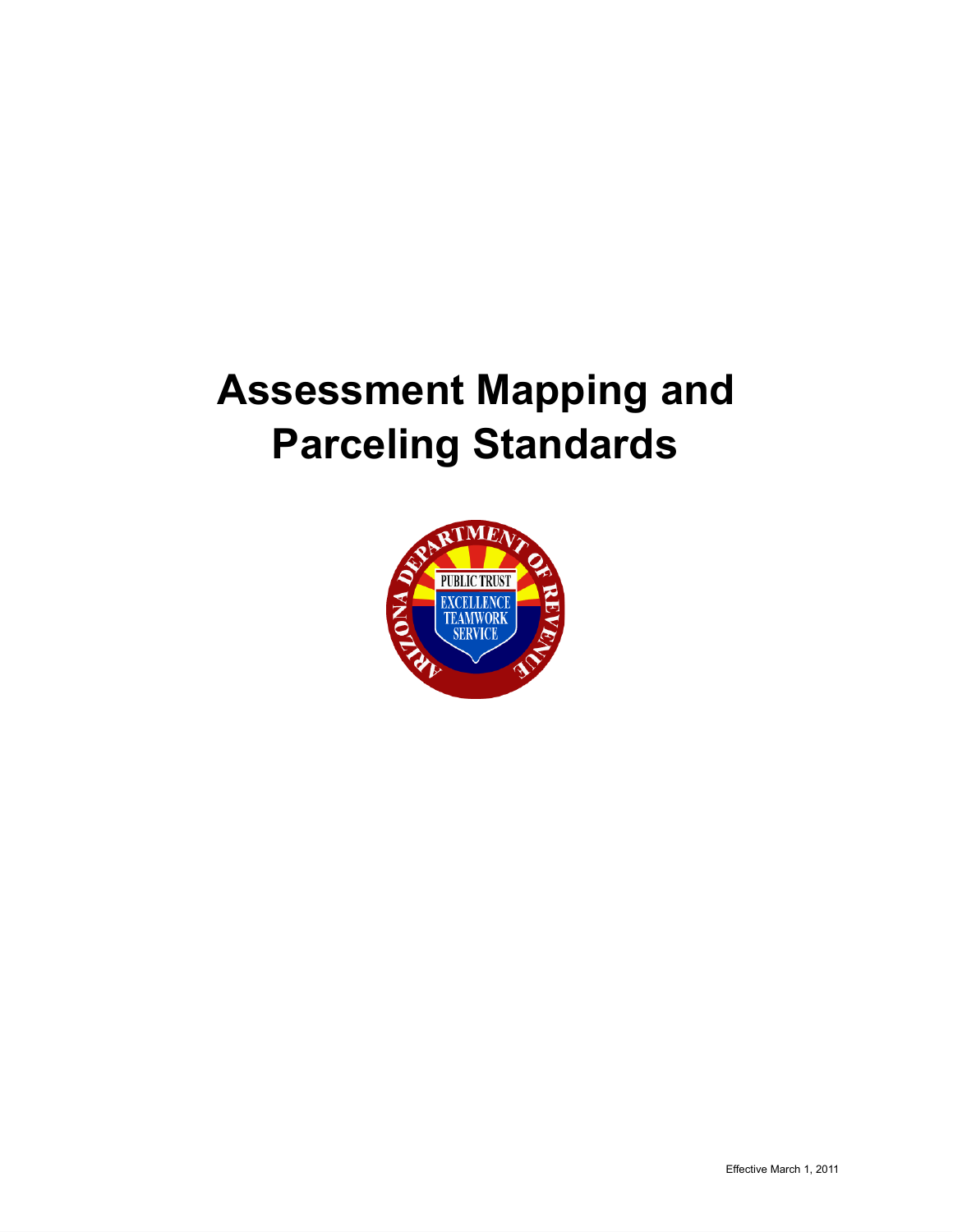# **Assessment Mapping and Parceling Standards**

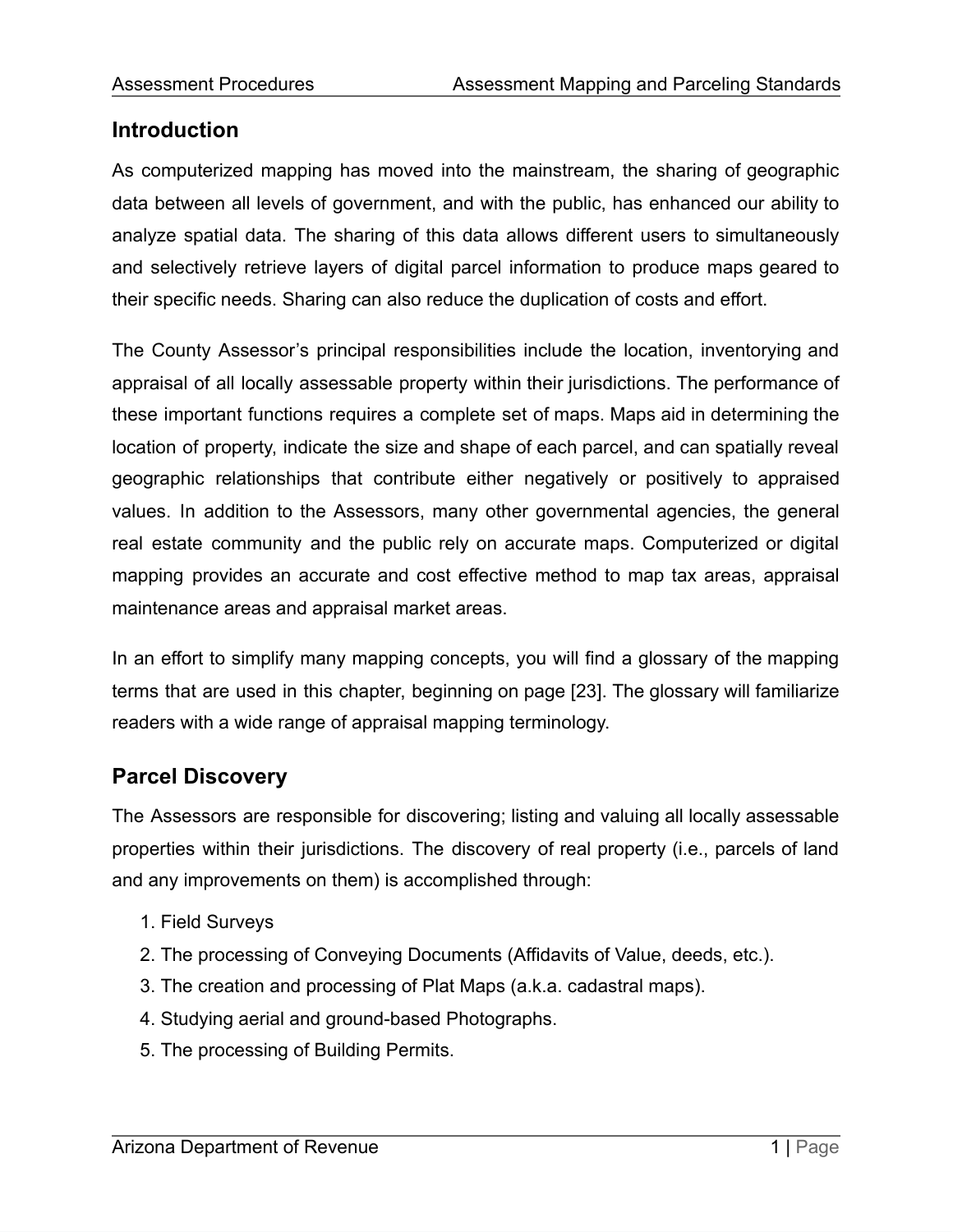## **Introduction**

As computerized mapping has moved into the mainstream, the sharing of geographic data between all levels of government, and with the public, has enhanced our ability to analyze spatial data. The sharing of this data allows different users to simultaneously and selectively retrieve layers of digital parcel information to produce maps geared to their specific needs. Sharing can also reduce the duplication of costs and effort.

The County Assessor's principal responsibilities include the location, inventorying and appraisal of all locally assessable property within their jurisdictions. The performance of these important functions requires a complete set of maps. Maps aid in determining the location of property, indicate the size and shape of each parcel, and can spatially reveal geographic relationships that contribute either negatively or positively to appraised values. In addition to the Assessors, many other governmental agencies, the general real estate community and the public rely on accurate maps. Computerized or digital mapping provides an accurate and cost effective method to map tax areas, appraisal maintenance areas and appraisal market areas.

In an effort to simplify many mapping concepts, you will find a glossary of the mapping terms that are used in this chapter, beginning on page [23]. The glossary will familiarize readers with a wide range of appraisal mapping terminology.

# **Parcel Discovery**

The Assessors are responsible for discovering; listing and valuing all locally assessable properties within their jurisdictions. The discovery of real property (i.e., parcels of land and any improvements on them) is accomplished through:

- 1. Field Surveys
- 2. The processing of Conveying Documents (Affidavits of Value, deeds, etc.).
- 3. The creation and processing of Plat Maps (a.k.a. cadastral maps).
- 4. Studying aerial and ground-based Photographs.
- 5. The processing of Building Permits.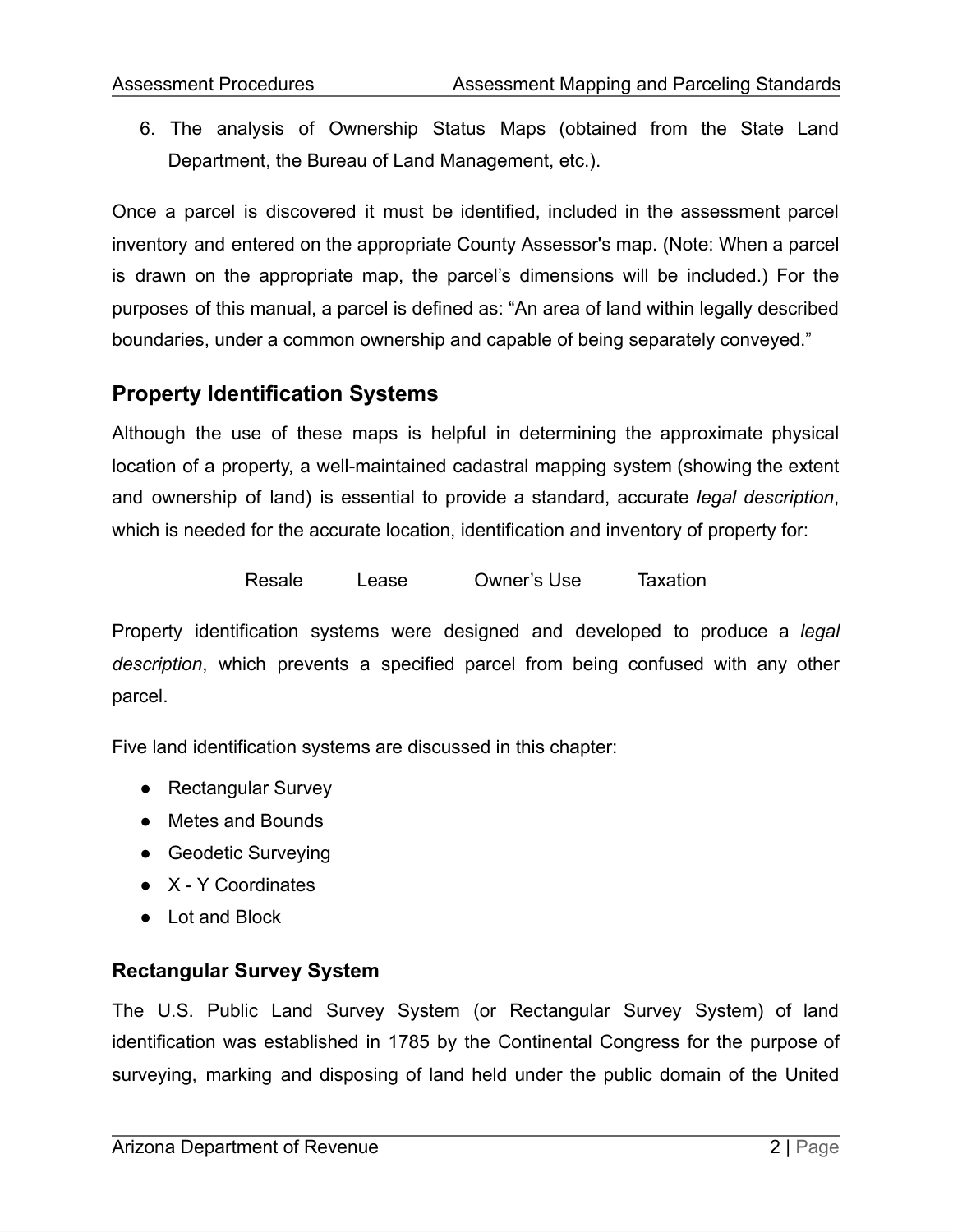6. The analysis of Ownership Status Maps (obtained from the State Land Department, the Bureau of Land Management, etc.).

Once a parcel is discovered it must be identified, included in the assessment parcel inventory and entered on the appropriate County Assessor's map. (Note: When a parcel is drawn on the appropriate map, the parcel's dimensions will be included.) For the purposes of this manual, a parcel is defined as: "An area of land within legally described boundaries, under a common ownership and capable of being separately conveyed."

## **Property Identification Systems**

Although the use of these maps is helpful in determining the approximate physical location of a property, a well-maintained cadastral mapping system (showing the extent and ownership of land) is essential to provide a standard, accurate *legal description*, which is needed for the accurate location, identification and inventory of property for:

Resale Lease Owner's Use Taxation

Property identification systems were designed and developed to produce a *legal description*, which prevents a specified parcel from being confused with any other parcel.

Five land identification systems are discussed in this chapter:

- Rectangular Survey
- Metes and Bounds
- Geodetic Surveying
- X Y Coordinates
- Lot and Block

## **Rectangular Survey System**

The U.S. Public Land Survey System (or Rectangular Survey System) of land identification was established in 1785 by the Continental Congress for the purpose of surveying, marking and disposing of land held under the public domain of the United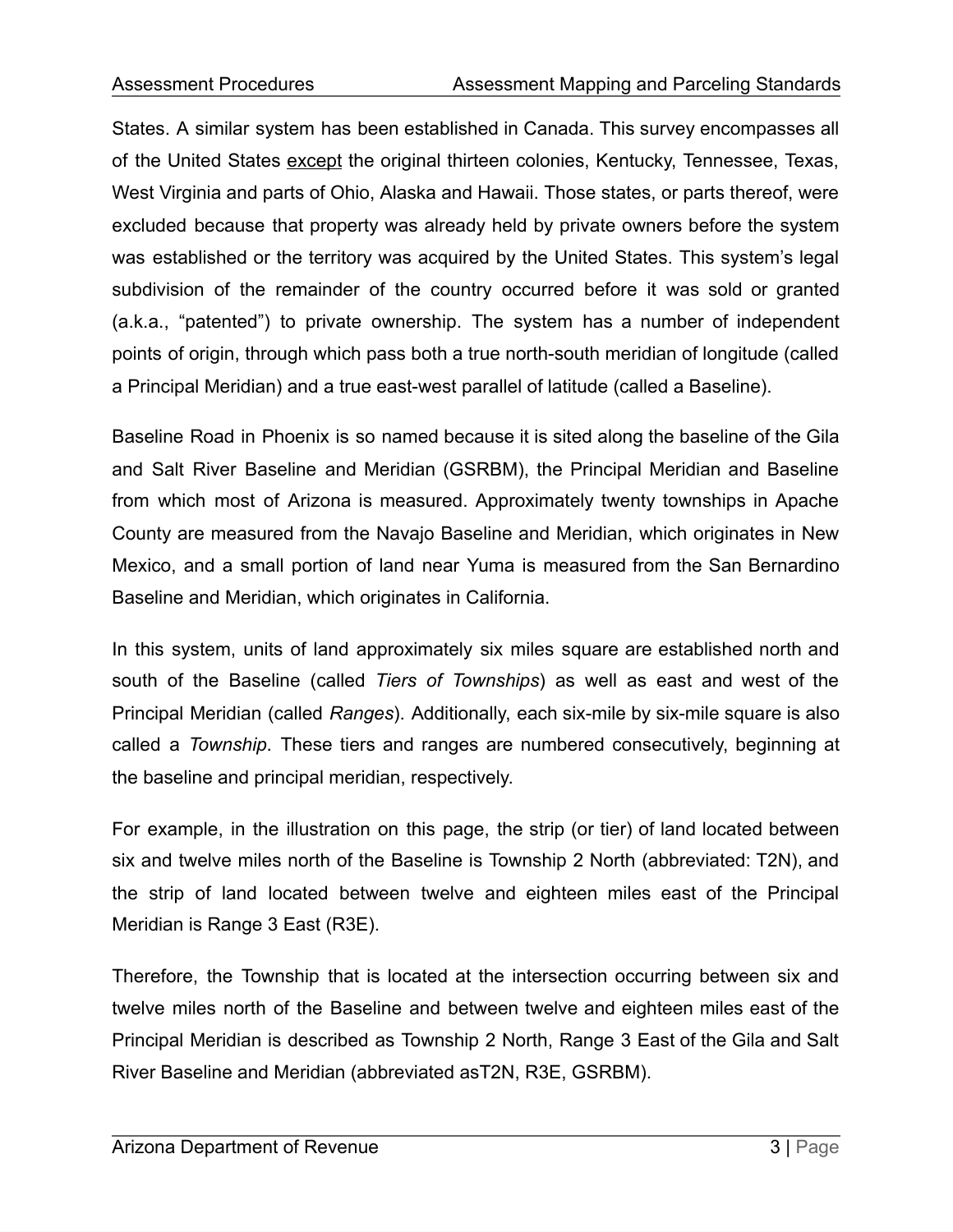States. A similar system has been established in Canada. This survey encompasses all of the United States except the original thirteen colonies, Kentucky, Tennessee, Texas, West Virginia and parts of Ohio, Alaska and Hawaii. Those states, or parts thereof, were excluded because that property was already held by private owners before the system was established or the territory was acquired by the United States. This system's legal subdivision of the remainder of the country occurred before it was sold or granted (a.k.a., "patented") to private ownership. The system has a number of independent points of origin, through which pass both a true north-south meridian of longitude (called a Principal Meridian) and a true east-west parallel of latitude (called a Baseline).

Baseline Road in Phoenix is so named because it is sited along the baseline of the Gila and Salt River Baseline and Meridian (GSRBM), the Principal Meridian and Baseline from which most of Arizona is measured. Approximately twenty townships in Apache County are measured from the Navajo Baseline and Meridian, which originates in New Mexico, and a small portion of land near Yuma is measured from the San Bernardino Baseline and Meridian, which originates in California.

In this system, units of land approximately six miles square are established north and south of the Baseline (called *Tiers of Townships*) as well as east and west of the Principal Meridian (called *Ranges*). Additionally, each six-mile by six-mile square is also called a *Township*. These tiers and ranges are numbered consecutively, beginning at the baseline and principal meridian, respectively.

For example, in the illustration on this page, the strip (or tier) of land located between six and twelve miles north of the Baseline is Township 2 North (abbreviated: T2N), and the strip of land located between twelve and eighteen miles east of the Principal Meridian is Range 3 East (R3E).

Therefore, the Township that is located at the intersection occurring between six and twelve miles north of the Baseline and between twelve and eighteen miles east of the Principal Meridian is described as Township 2 North, Range 3 East of the Gila and Salt River Baseline and Meridian (abbreviated asT2N, R3E, GSRBM).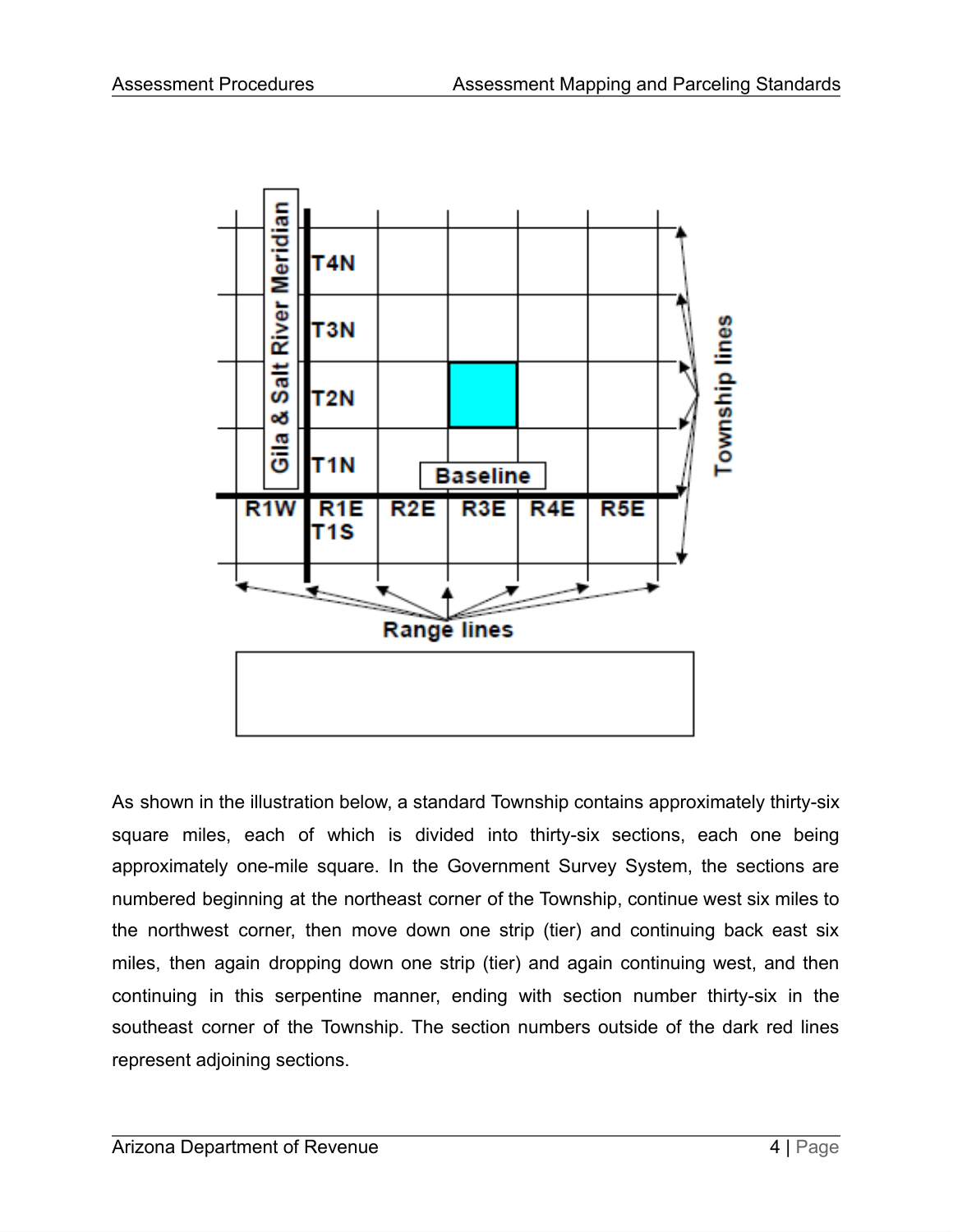

As shown in the illustration below, a standard Township contains approximately thirty-six square miles, each of which is divided into thirty-six sections, each one being approximately one-mile square. In the Government Survey System, the sections are numbered beginning at the northeast corner of the Township, continue west six miles to the northwest corner, then move down one strip (tier) and continuing back east six miles, then again dropping down one strip (tier) and again continuing west, and then continuing in this serpentine manner, ending with section number thirty-six in the southeast corner of the Township. The section numbers outside of the dark red lines represent adjoining sections.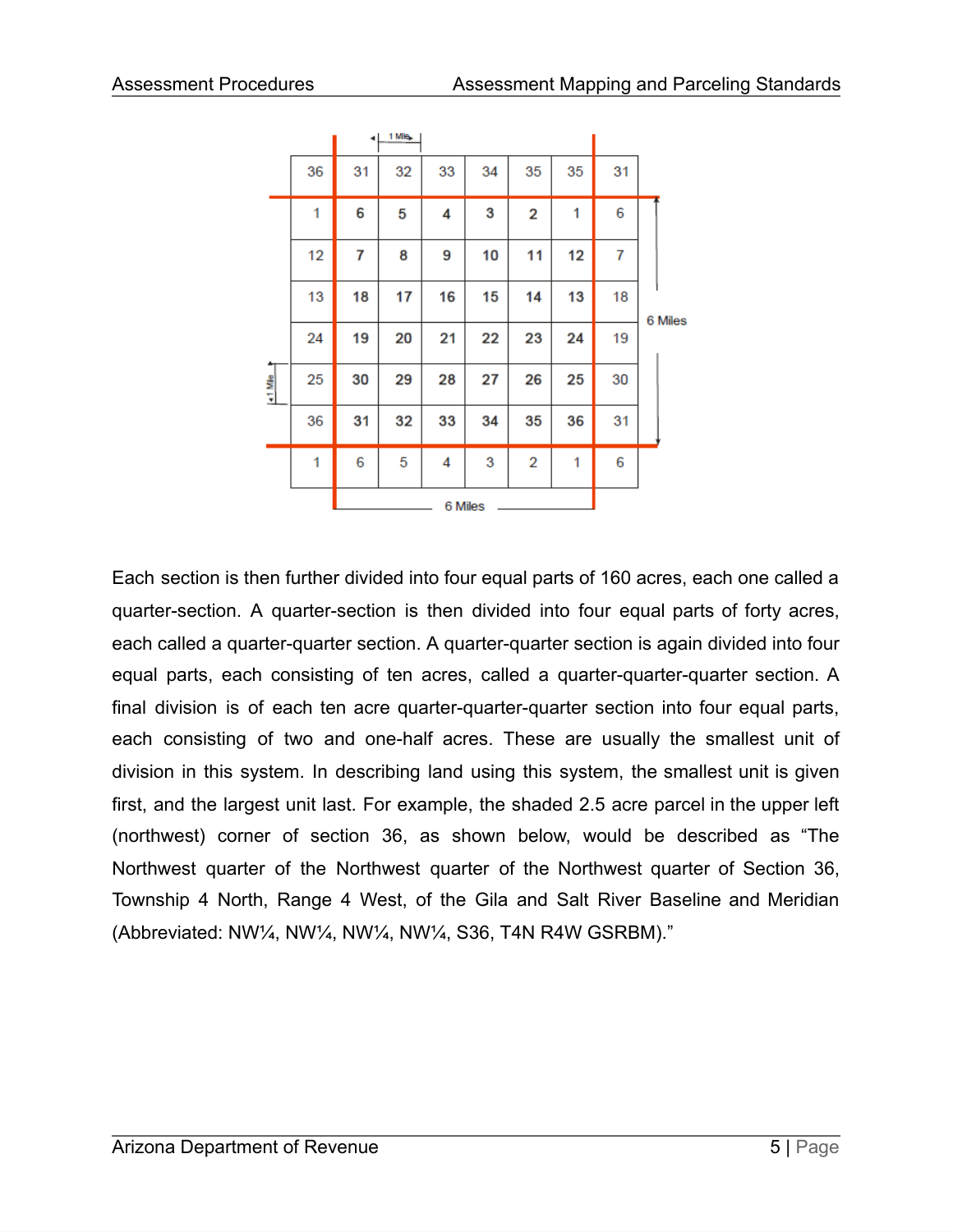|         |    | ٠  | 1 Mile |         |    |                |    |    |         |
|---------|----|----|--------|---------|----|----------------|----|----|---------|
|         | 36 | 31 | 32     | 33      | 34 | 35             | 35 | 31 |         |
|         | 1  | 6  | 5      | 4       | 3  | $\mathbf 2$    | 1  | 6  |         |
|         | 12 | 7  | 8      | 9       | 10 | 11             | 12 | 7  |         |
|         | 13 | 18 | 17     | 16      | 15 | 14             | 13 | 18 | 6 Miles |
|         | 24 | 19 | 20     | 21      | 22 | 23             | 24 | 19 |         |
| 41 Mile | 25 | 30 | 29     | 28      | 27 | 26             | 25 | 30 |         |
|         | 36 | 31 | 32     | 33      | 34 | 35             | 36 | 31 |         |
|         | 1  | 6  | 5      | 4       | 3  | $\overline{2}$ | 1  | 6  |         |
|         |    |    |        | 6 Miles |    |                |    |    |         |

Each section is then further divided into four equal parts of 160 acres, each one called a quarter-section. A quarter-section is then divided into four equal parts of forty acres, each called a quarter-quarter section. A quarter-quarter section is again divided into four equal parts, each consisting of ten acres, called a quarter-quarter-quarter section. A final division is of each ten acre quarter-quarter-quarter section into four equal parts, each consisting of two and one-half acres. These are usually the smallest unit of division in this system. In describing land using this system, the smallest unit is given first, and the largest unit last. For example, the shaded 2.5 acre parcel in the upper left (northwest) corner of section 36, as shown below, would be described as "The Northwest quarter of the Northwest quarter of the Northwest quarter of Section 36, Township 4 North, Range 4 West, of the Gila and Salt River Baseline and Meridian (Abbreviated: NW¼, NW¼, NW¼, NW¼, S36, T4N R4W GSRBM)."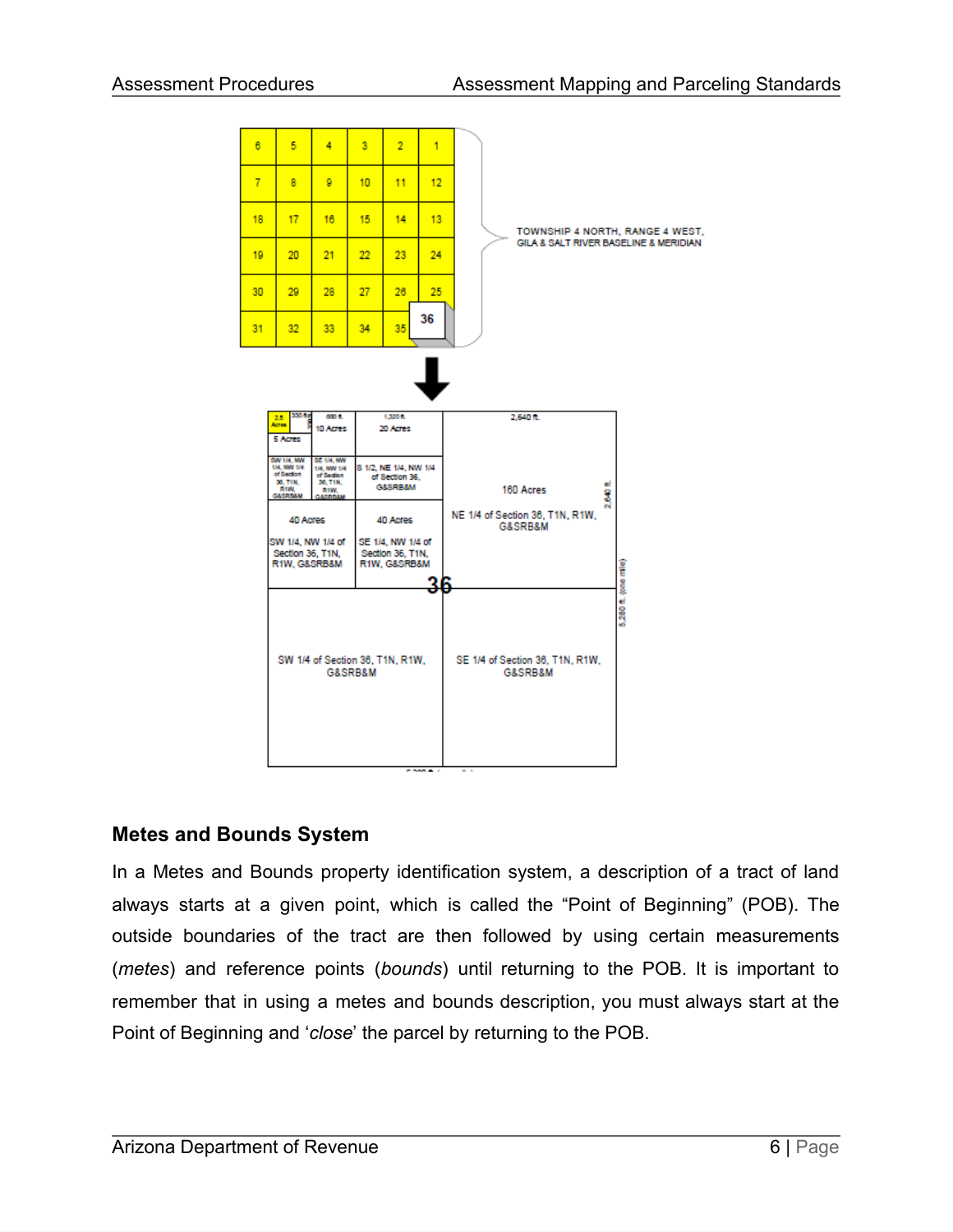

## **Metes and Bounds System**

In a Metes and Bounds property identification system, a description of a tract of land always starts at a given point, which is called the "Point of Beginning" (POB). The outside boundaries of the tract are then followed by using certain measurements (*metes*) and reference points (*bounds*) until returning to the POB. It is important to remember that in using a metes and bounds description, you must always start at the Point of Beginning and '*close*' the parcel by returning to the POB.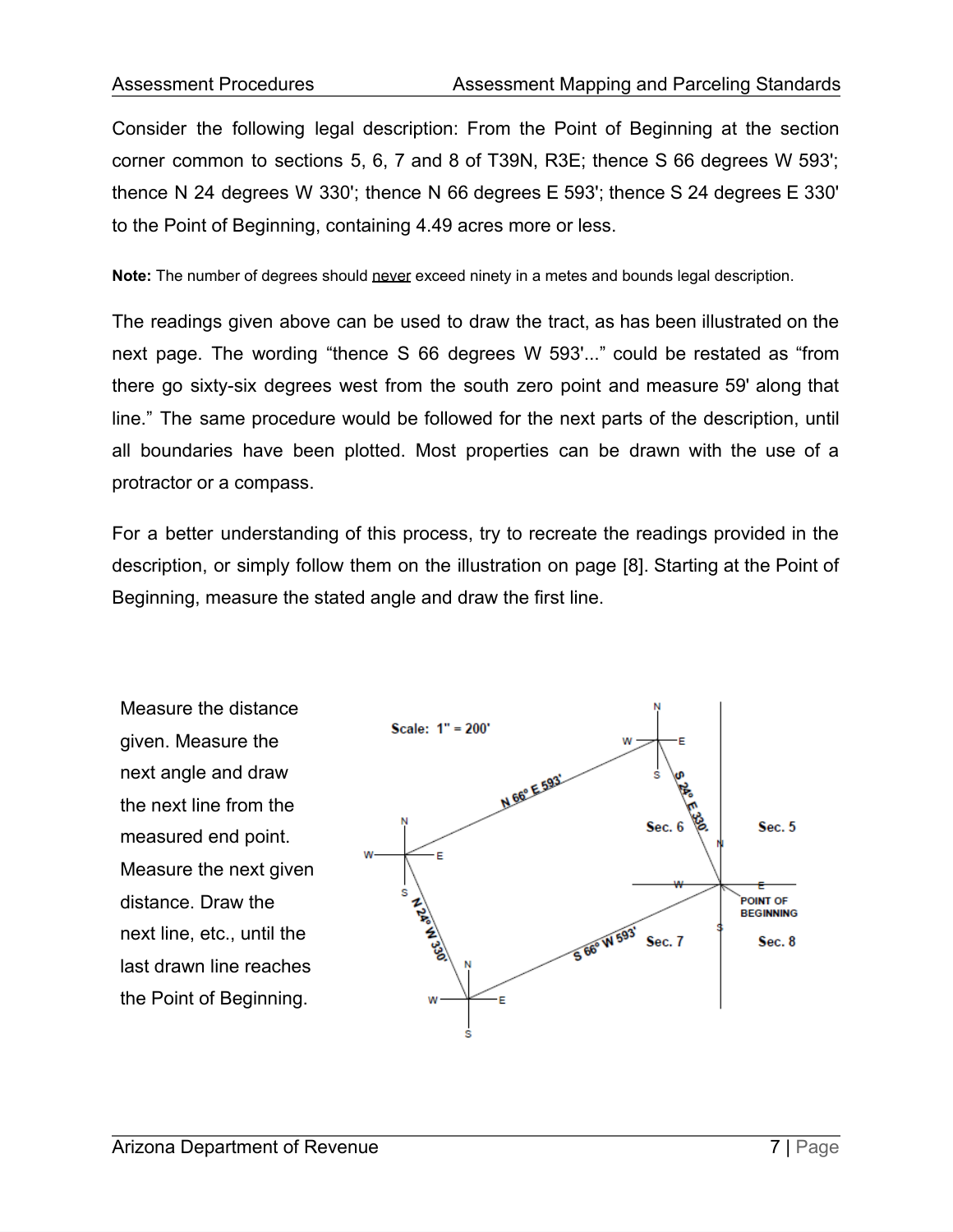Consider the following legal description: From the Point of Beginning at the section corner common to sections 5, 6, 7 and 8 of T39N, R3E; thence S 66 degrees W 593'; thence N 24 degrees W 330'; thence N 66 degrees E 593'; thence S 24 degrees E 330' to the Point of Beginning, containing 4.49 acres more or less.

**Note:** The number of degrees should never exceed ninety in a metes and bounds legal description.

The readings given above can be used to draw the tract, as has been illustrated on the next page. The wording "thence S 66 degrees W 593'..." could be restated as "from there go sixty-six degrees west from the south zero point and measure 59' along that line." The same procedure would be followed for the next parts of the description, until all boundaries have been plotted. Most properties can be drawn with the use of a protractor or a compass.

For a better understanding of this process, try to recreate the readings provided in the description, or simply follow them on the illustration on page [8]. Starting at the Point of Beginning, measure the stated angle and draw the first line.

Measure the distance given. Measure the next angle and draw the next line from the measured end point. Measure the next given distance. Draw the next line, etc., until the last drawn line reaches the Point of Beginning.

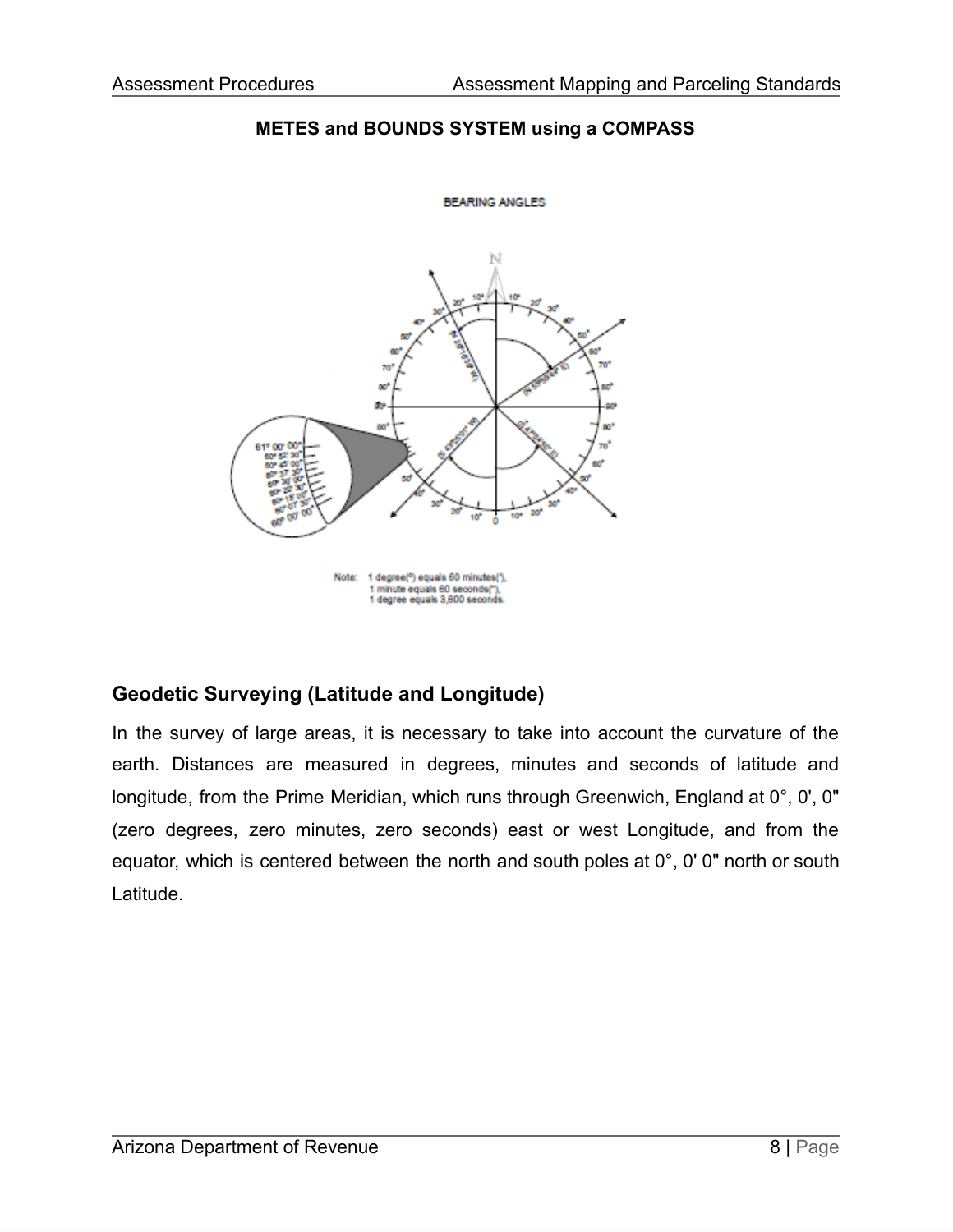

#### **METES and BOUNDS SYSTEM using a COMPASS**

## **Geodetic Surveying (Latitude and Longitude)**

In the survey of large areas, it is necessary to take into account the curvature of the earth. Distances are measured in degrees, minutes and seconds of latitude and longitude, from the Prime Meridian, which runs through Greenwich, England at 0°, 0', 0" (zero degrees, zero minutes, zero seconds) east or west Longitude, and from the equator, which is centered between the north and south poles at 0°, 0' 0" north or south Latitude.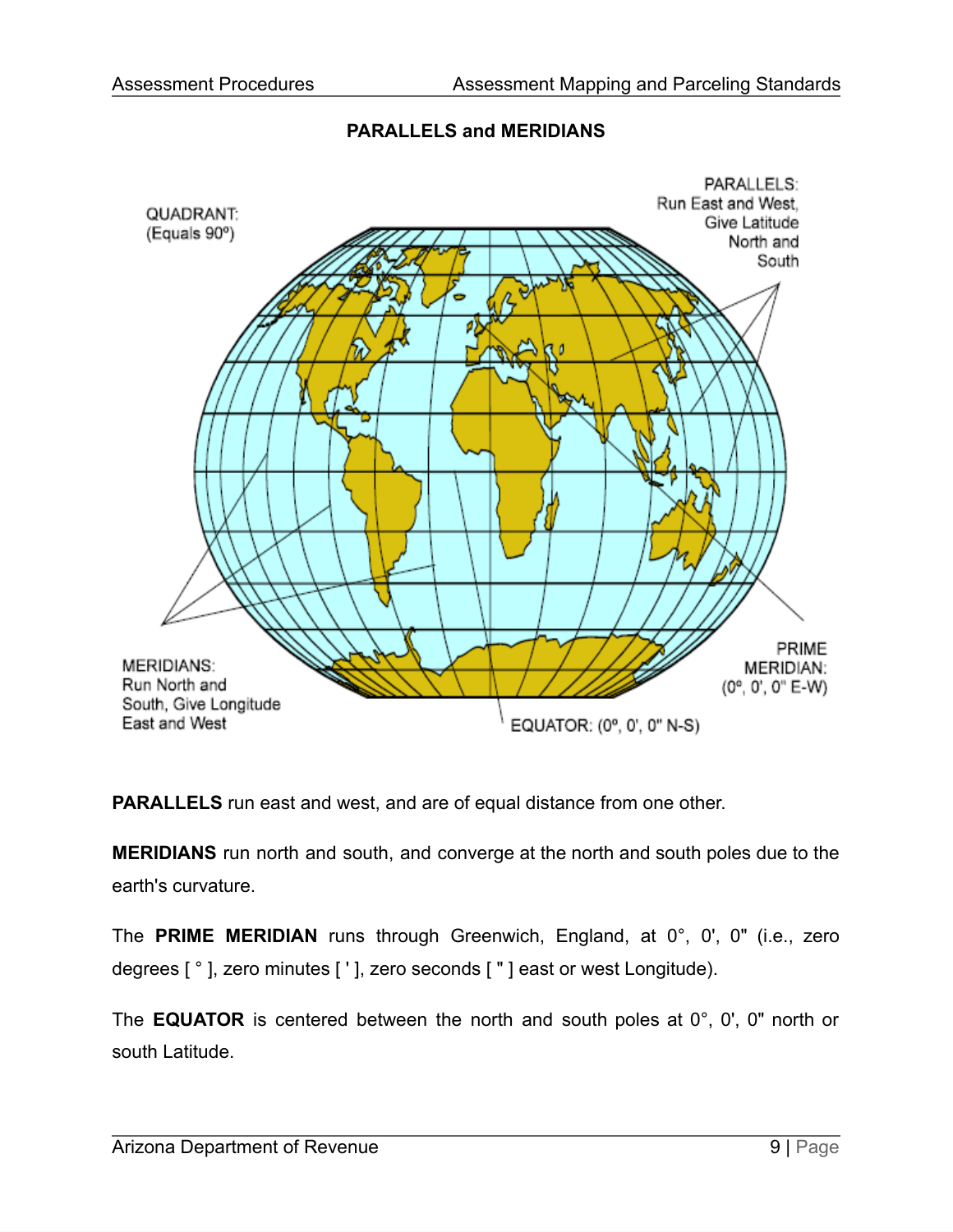### **PARALLELS and MERIDIANS**



**PARALLELS** run east and west, and are of equal distance from one other.

**MERIDIANS** run north and south, and converge at the north and south poles due to the earth's curvature.

The **PRIME MERIDIAN** runs through Greenwich, England, at 0°, 0', 0" (i.e., zero degrees [ ° ], zero minutes [ ' ], zero seconds [ " ] east or west Longitude).

The **EQUATOR** is centered between the north and south poles at 0°, 0', 0" north or south Latitude.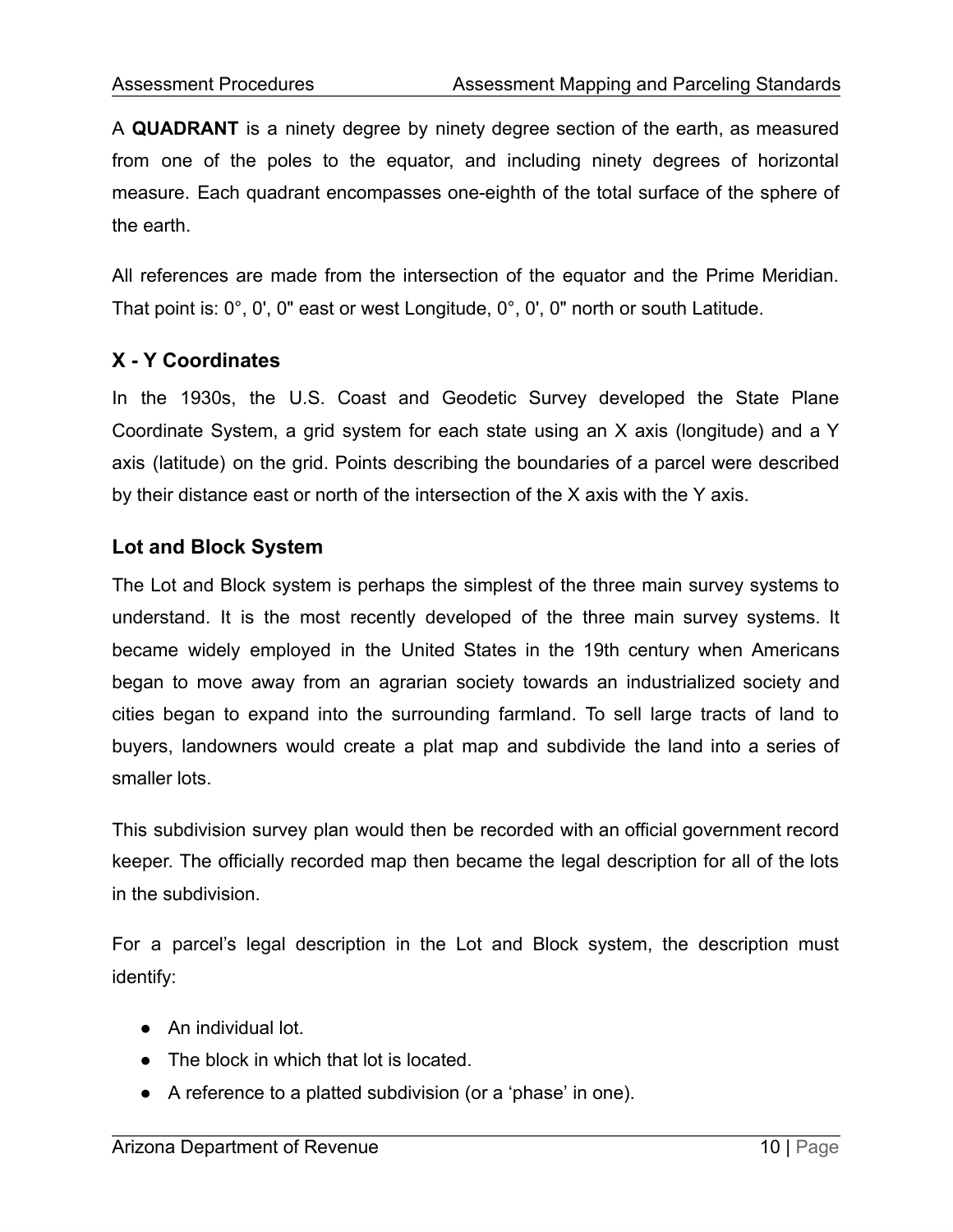A **QUADRANT** is a ninety degree by ninety degree section of the earth, as measured from one of the poles to the equator, and including ninety degrees of horizontal measure. Each quadrant encompasses one-eighth of the total surface of the sphere of the earth.

All references are made from the intersection of the equator and the Prime Meridian. That point is: 0°, 0', 0" east or west Longitude, 0°, 0', 0" north or south Latitude.

## **X - Y Coordinates**

In the 1930s, the U.S. Coast and Geodetic Survey developed the State Plane Coordinate System, a grid system for each state using an X axis (longitude) and a Y axis (latitude) on the grid. Points describing the boundaries of a parcel were described by their distance east or north of the intersection of the X axis with the Y axis.

#### **Lot and Block System**

The Lot and Block system is perhaps the simplest of the three main survey systems to understand. It is the most recently developed of the three main survey systems. It became widely employed in the United States in the 19th century when Americans began to move away from an agrarian society towards an industrialized society and cities began to expand into the surrounding farmland. To sell large tracts of land to buyers, landowners would create a plat map and subdivide the land into a series of smaller lots.

This subdivision survey plan would then be recorded with an official government record keeper. The officially recorded map then became the legal description for all of the lots in the subdivision.

For a parcel's legal description in the Lot and Block system, the description must identify:

- An individual lot.
- The block in which that lot is located.
- A reference to a platted subdivision (or a 'phase' in one).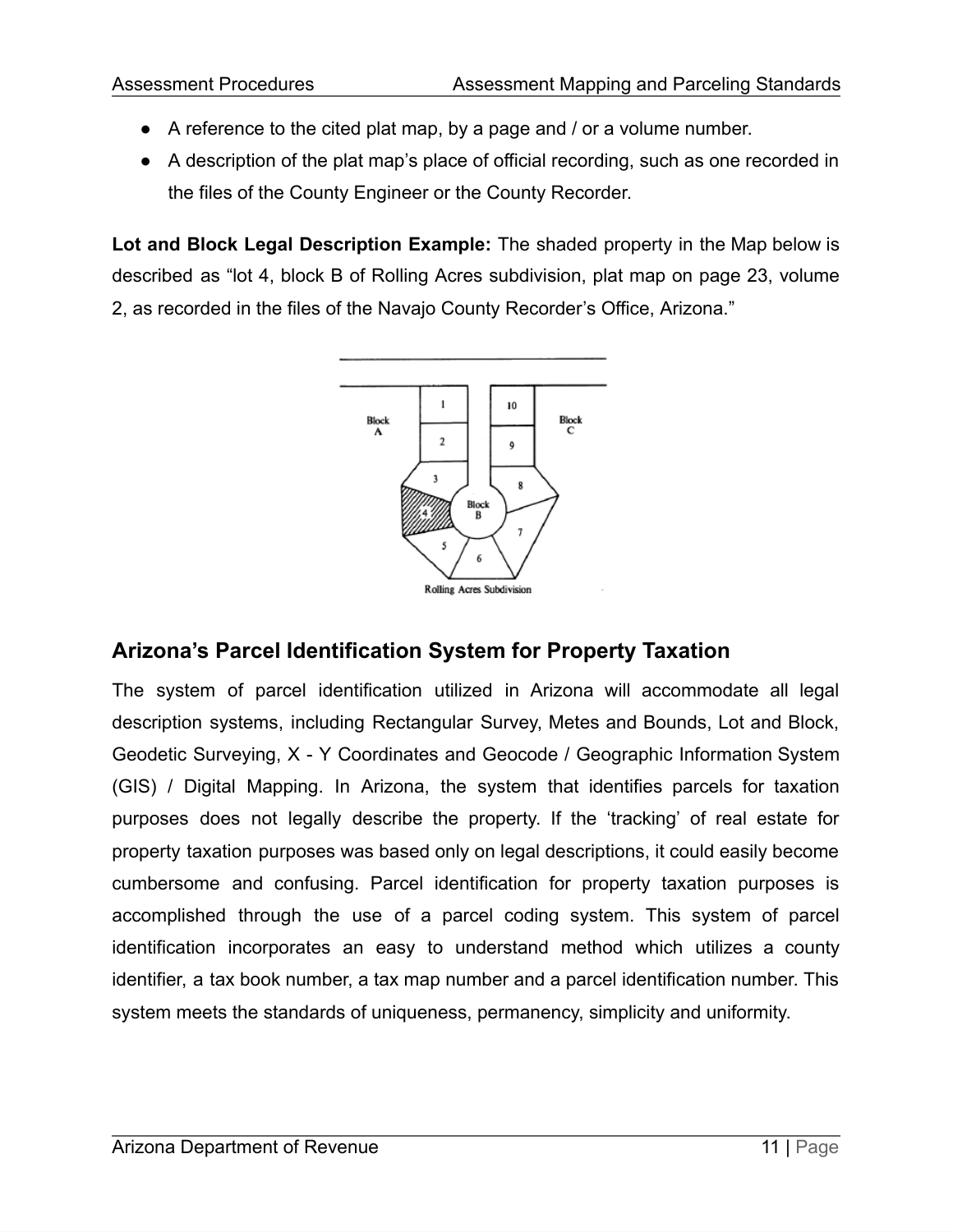- A reference to the cited plat map, by a page and / or a volume number.
- A description of the plat map's place of official recording, such as one recorded in the files of the County Engineer or the County Recorder.

**Lot and Block Legal Description Example:** The shaded property in the Map below is described as "lot 4, block B of Rolling Acres subdivision, plat map on page 23, volume 2, as recorded in the files of the Navajo County Recorder's Office, Arizona."



# **Arizona's Parcel Identification System for Property Taxation**

The system of parcel identification utilized in Arizona will accommodate all legal description systems, including Rectangular Survey, Metes and Bounds, Lot and Block, Geodetic Surveying, X - Y Coordinates and Geocode / Geographic Information System (GIS) / Digital Mapping. In Arizona, the system that identifies parcels for taxation purposes does not legally describe the property. If the 'tracking' of real estate for property taxation purposes was based only on legal descriptions, it could easily become cumbersome and confusing. Parcel identification for property taxation purposes is accomplished through the use of a parcel coding system. This system of parcel identification incorporates an easy to understand method which utilizes a county identifier, a tax book number, a tax map number and a parcel identification number. This system meets the standards of uniqueness, permanency, simplicity and uniformity.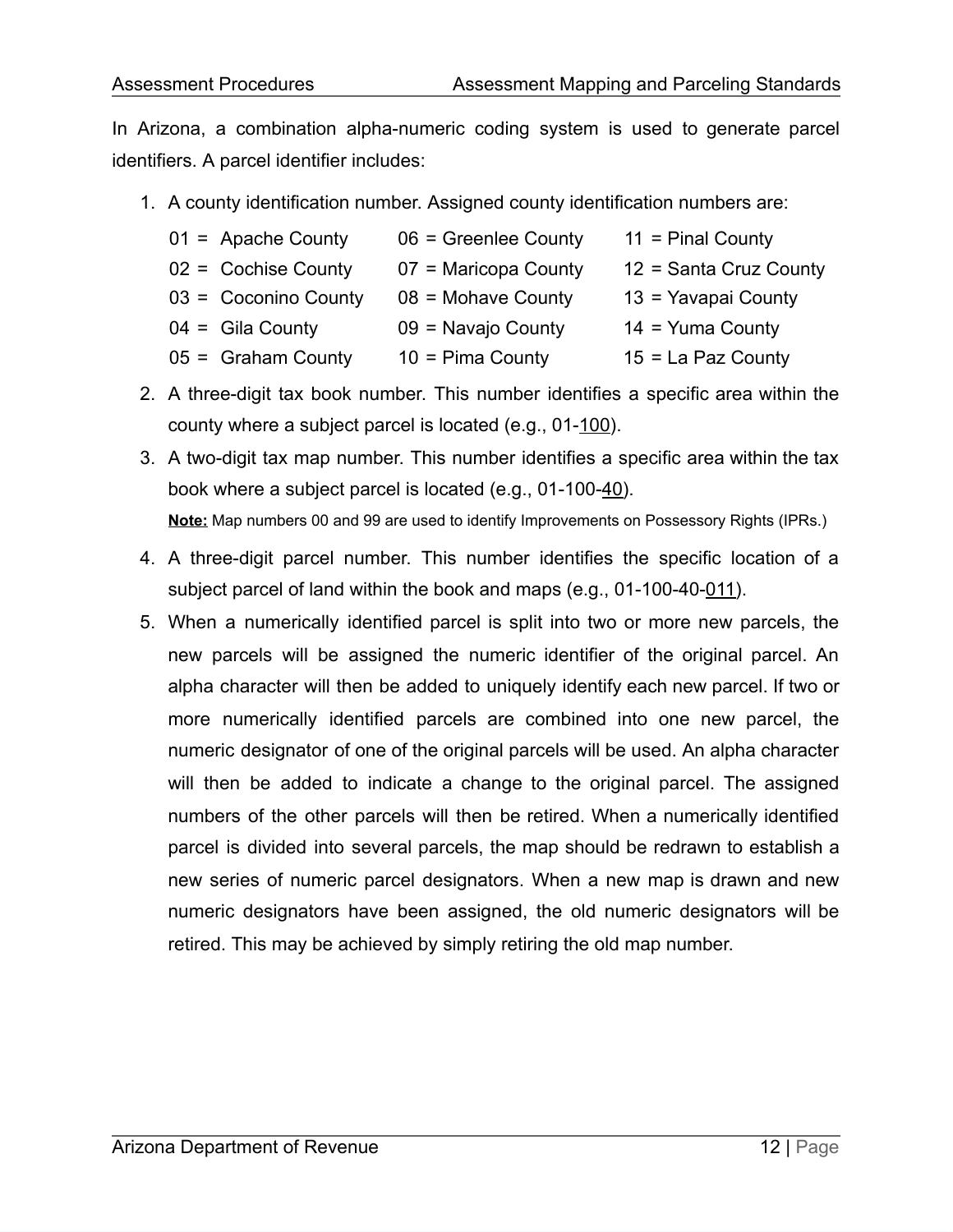In Arizona, a combination alpha-numeric coding system is used to generate parcel identifiers. A parcel identifier includes:

1. A county identification number. Assigned county identification numbers are:

| $01 =$ Apache County  | $06$ = Greenlee County | $11$ = Pinal County    |
|-----------------------|------------------------|------------------------|
| $02 =$ Cochise County | 07 = Maricopa County   | 12 = Santa Cruz County |
| 03 = Coconino County  | $08$ = Mohave County   | 13 = Yavapai County    |
| $04 =$ Gila County    | 09 = Navajo County     | $14 =$ Yuma County     |
| $05 =$ Graham County  | $10 =$ Pima County     | $15 = La$ Paz County   |

- 2. A three-digit tax book number. This number identifies a specific area within the county where a subject parcel is located (e.g., 01-100).
- 3. A two-digit tax map number. This number identifies a specific area within the tax book where a subject parcel is located (e.g., 01-100-40). **Note:** Map numbers 00 and 99 are used to identify Improvements on Possessory Rights (IPRs.)
- 4. A three-digit parcel number. This number identifies the specific location of a subject parcel of land within the book and maps (e.g., 01-100-40-011).
- 5. When a numerically identified parcel is split into two or more new parcels, the new parcels will be assigned the numeric identifier of the original parcel. An alpha character will then be added to uniquely identify each new parcel. If two or more numerically identified parcels are combined into one new parcel, the numeric designator of one of the original parcels will be used. An alpha character will then be added to indicate a change to the original parcel. The assigned numbers of the other parcels will then be retired. When a numerically identified parcel is divided into several parcels, the map should be redrawn to establish a new series of numeric parcel designators. When a new map is drawn and new numeric designators have been assigned, the old numeric designators will be retired. This may be achieved by simply retiring the old map number.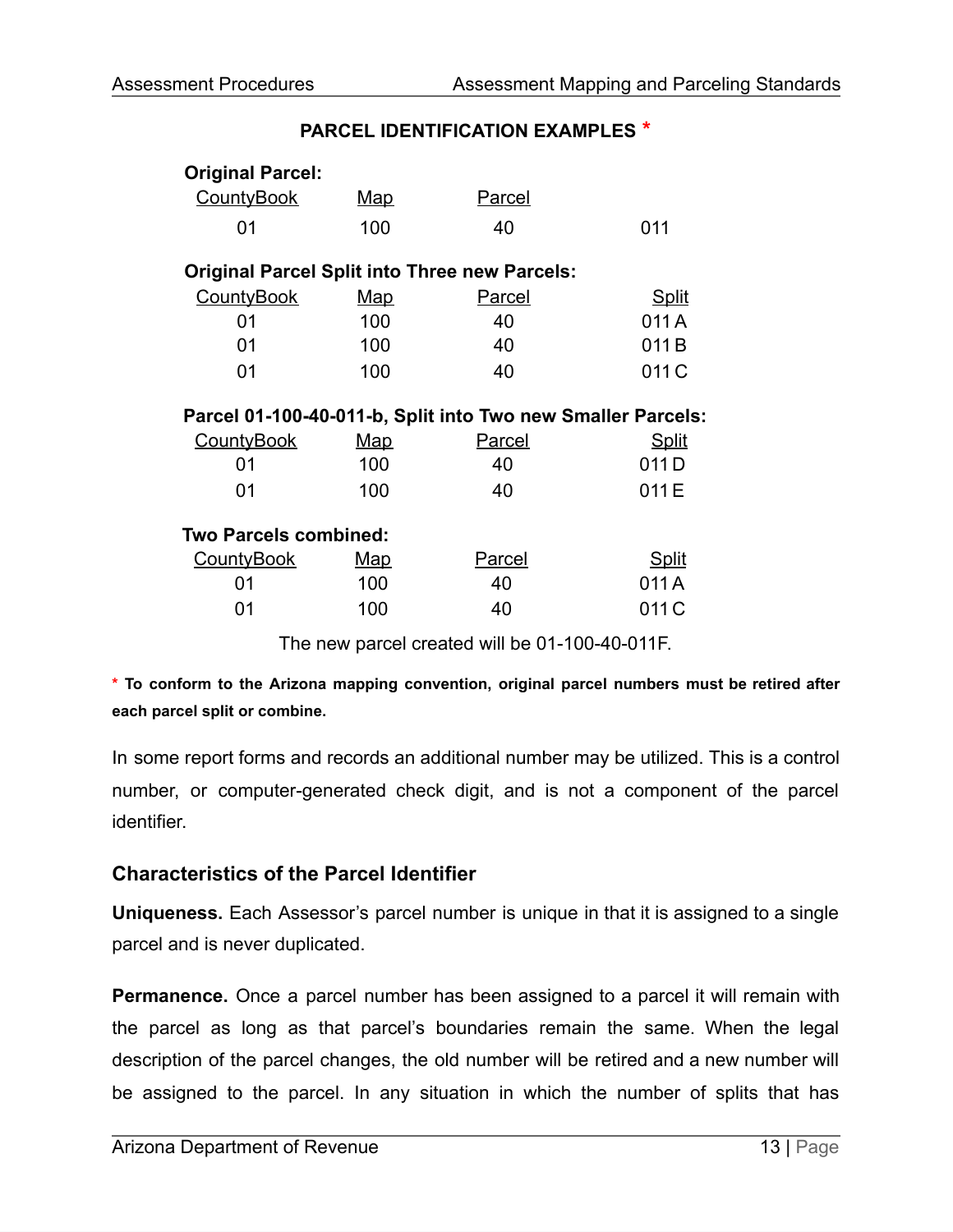#### **PARCEL IDENTIFICATION EXAMPLES \***

| <b>Original Parcel:</b>                              |            |                                                             |              |  |  |  |  |
|------------------------------------------------------|------------|-------------------------------------------------------------|--------------|--|--|--|--|
| <b>CountyBook</b>                                    | <u>Map</u> | <b>Parcel</b>                                               |              |  |  |  |  |
| 01                                                   | 100        | 40                                                          | 011          |  |  |  |  |
| <b>Original Parcel Split into Three new Parcels:</b> |            |                                                             |              |  |  |  |  |
| <b>CountyBook</b>                                    | <u>Map</u> | Parcel                                                      | <b>Split</b> |  |  |  |  |
| 01                                                   | 100        | 40                                                          | 011 A        |  |  |  |  |
| 01                                                   | 100        | 40                                                          | 011B         |  |  |  |  |
| 01                                                   | 100        | 40                                                          | 011 C        |  |  |  |  |
|                                                      |            |                                                             |              |  |  |  |  |
|                                                      |            | Parcel 01-100-40-011-b, Split into Two new Smaller Parcels: |              |  |  |  |  |
| <b>CountyBook</b>                                    | Map        | <b>Parcel</b>                                               | <u>Split</u> |  |  |  |  |
| 01                                                   | 100        | 40                                                          | 011D         |  |  |  |  |
| 01                                                   | 100        | 40                                                          | 011 E        |  |  |  |  |
| <b>Two Parcels combined:</b>                         |            |                                                             |              |  |  |  |  |
| <b>CountyBook</b>                                    | <u>Map</u> | Parcel                                                      | <u>Split</u> |  |  |  |  |
| 01                                                   | 100        | 40                                                          | 011 A        |  |  |  |  |

The new parcel created will be 01-100-40-011F.

**\* To conform to the Arizona mapping convention, original parcel numbers must be retired after each parcel split or combine.**

In some report forms and records an additional number may be utilized. This is a control number, or computer-generated check digit, and is not a component of the parcel identifier.

#### **Characteristics of the Parcel Identifier**

**Uniqueness.** Each Assessor's parcel number is unique in that it is assigned to a single parcel and is never duplicated.

**Permanence.** Once a parcel number has been assigned to a parcel it will remain with the parcel as long as that parcel's boundaries remain the same. When the legal description of the parcel changes, the old number will be retired and a new number will be assigned to the parcel. In any situation in which the number of splits that has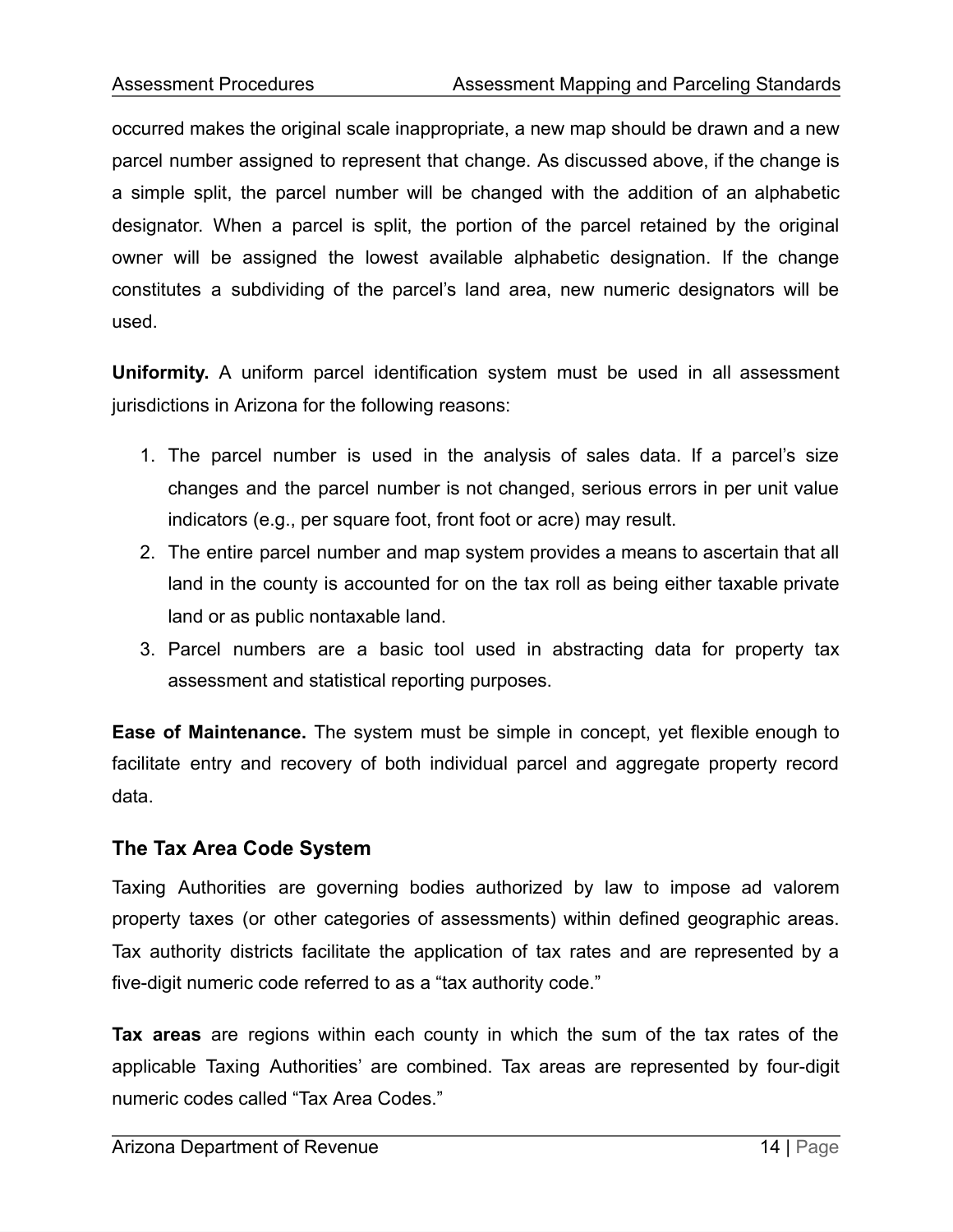occurred makes the original scale inappropriate, a new map should be drawn and a new parcel number assigned to represent that change. As discussed above, if the change is a simple split, the parcel number will be changed with the addition of an alphabetic designator. When a parcel is split, the portion of the parcel retained by the original owner will be assigned the lowest available alphabetic designation. If the change constitutes a subdividing of the parcel's land area, new numeric designators will be used.

**Uniformity.** A uniform parcel identification system must be used in all assessment jurisdictions in Arizona for the following reasons:

- 1. The parcel number is used in the analysis of sales data. If a parcel's size changes and the parcel number is not changed, serious errors in per unit value indicators (e.g., per square foot, front foot or acre) may result.
- 2. The entire parcel number and map system provides a means to ascertain that all land in the county is accounted for on the tax roll as being either taxable private land or as public nontaxable land.
- 3. Parcel numbers are a basic tool used in abstracting data for property tax assessment and statistical reporting purposes.

**Ease of Maintenance.** The system must be simple in concept, yet flexible enough to facilitate entry and recovery of both individual parcel and aggregate property record data.

## **The Tax Area Code System**

Taxing Authorities are governing bodies authorized by law to impose ad valorem property taxes (or other categories of assessments) within defined geographic areas. Tax authority districts facilitate the application of tax rates and are represented by a five-digit numeric code referred to as a "tax authority code."

**Tax areas** are regions within each county in which the sum of the tax rates of the applicable Taxing Authorities' are combined. Tax areas are represented by four-digit numeric codes called "Tax Area Codes."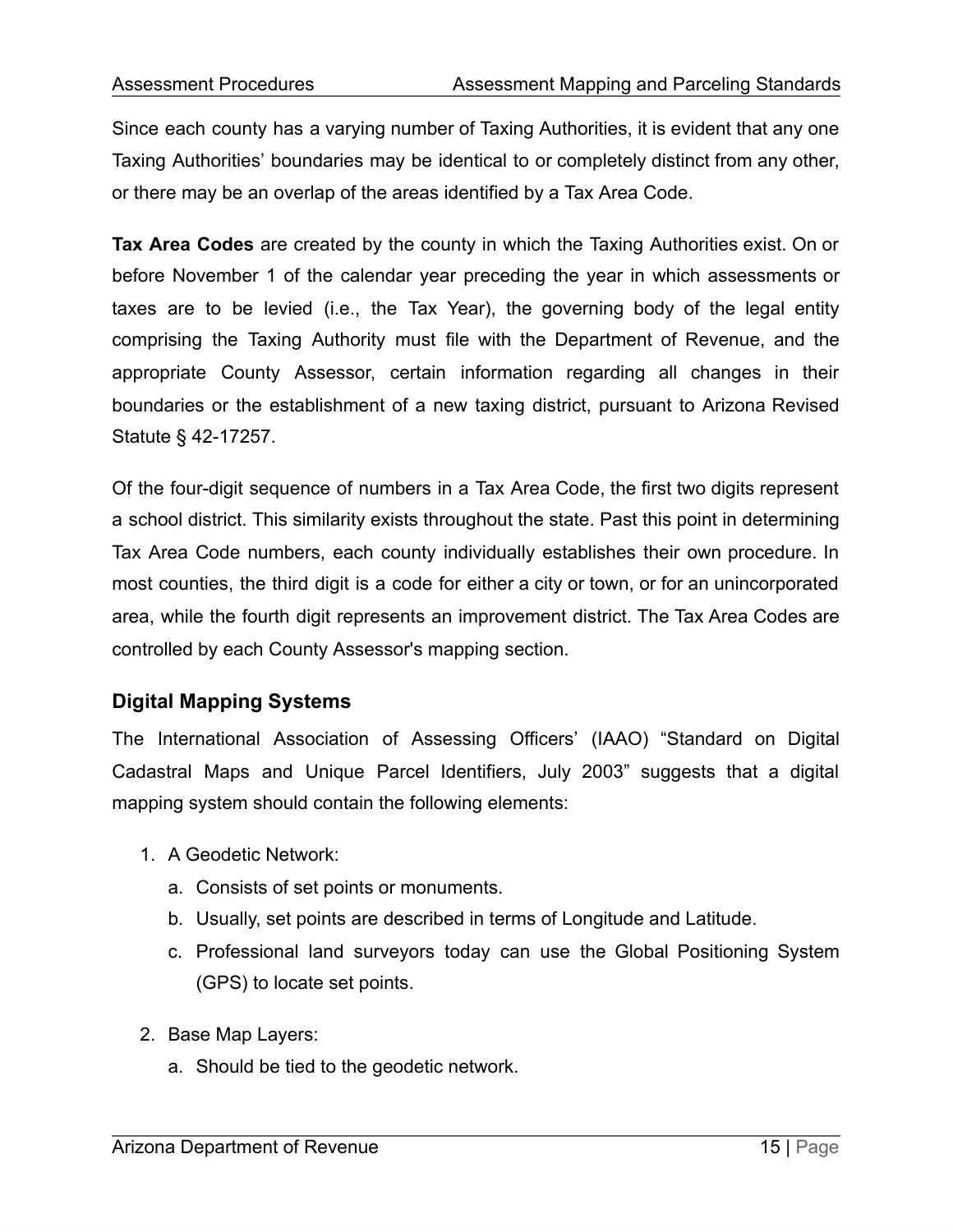Since each county has a varying number of Taxing Authorities, it is evident that any one Taxing Authorities' boundaries may be identical to or completely distinct from any other, or there may be an overlap of the areas identified by a Tax Area Code.

**Tax Area Codes** are created by the county in which the Taxing Authorities exist. On or before November 1 of the calendar year preceding the year in which assessments or taxes are to be levied (i.e., the Tax Year), the governing body of the legal entity comprising the Taxing Authority must file with the Department of Revenue, and the appropriate County Assessor, certain information regarding all changes in their boundaries or the establishment of a new taxing district, pursuant to Arizona Revised Statute § 42-17257.

Of the four-digit sequence of numbers in a Tax Area Code, the first two digits represent a school district. This similarity exists throughout the state. Past this point in determining Tax Area Code numbers, each county individually establishes their own procedure. In most counties, the third digit is a code for either a city or town, or for an unincorporated area, while the fourth digit represents an improvement district. The Tax Area Codes are controlled by each County Assessor's mapping section.

## **Digital Mapping Systems**

The International Association of Assessing Officers' (IAAO) "Standard on Digital Cadastral Maps and Unique Parcel Identifiers, July 2003" suggests that a digital mapping system should contain the following elements:

- 1. A Geodetic Network:
	- a. Consists of set points or monuments.
	- b. Usually, set points are described in terms of Longitude and Latitude.
	- c. Professional land surveyors today can use the Global Positioning System (GPS) to locate set points.
- 2. Base Map Layers:
	- a. Should be tied to the geodetic network.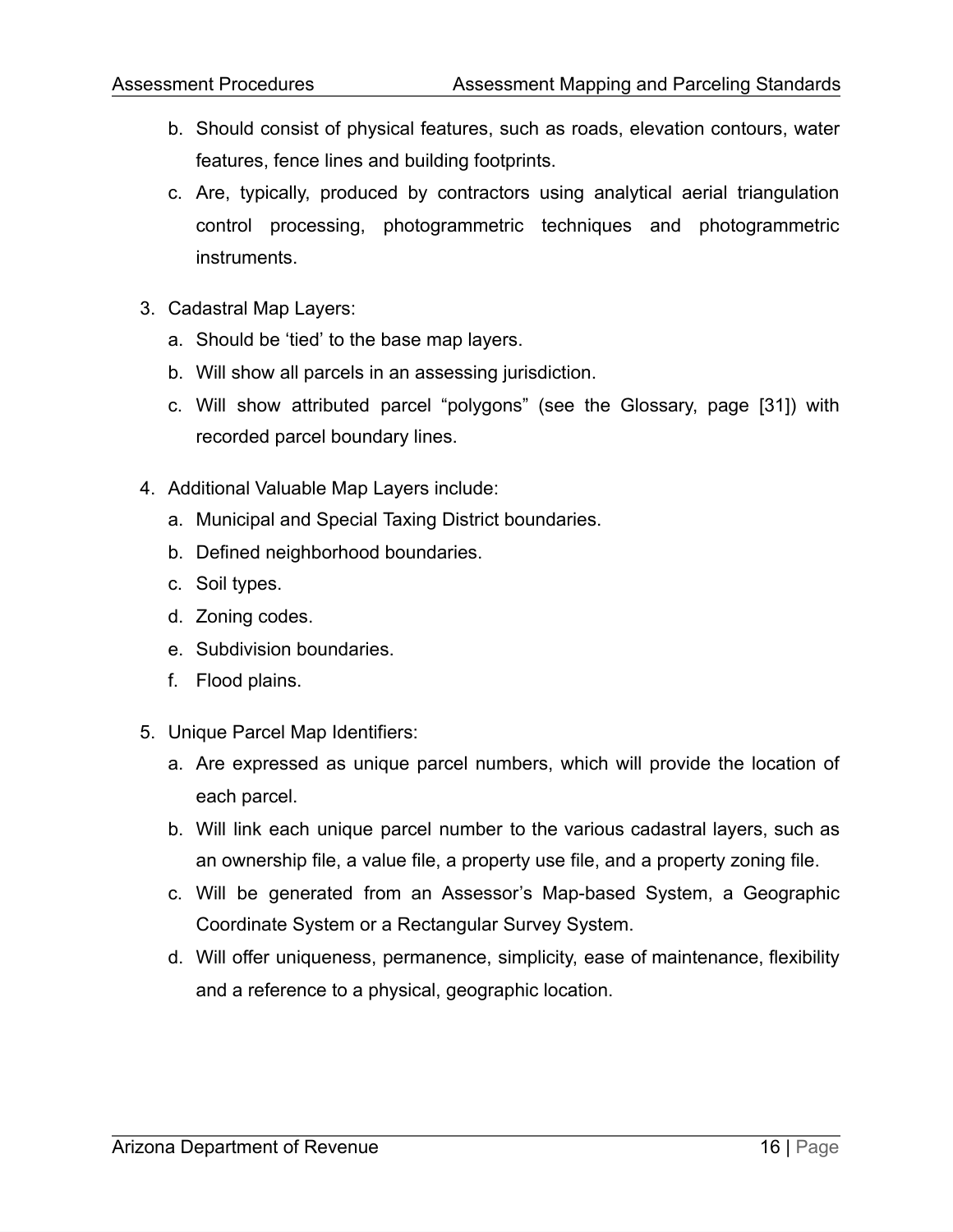- b. Should consist of physical features, such as roads, elevation contours, water features, fence lines and building footprints.
- c. Are, typically, produced by contractors using analytical aerial triangulation control processing, photogrammetric techniques and photogrammetric instruments.
- 3. Cadastral Map Layers:
	- a. Should be 'tied' to the base map layers.
	- b. Will show all parcels in an assessing jurisdiction.
	- c. Will show attributed parcel "polygons" (see the Glossary, page [31]) with recorded parcel boundary lines.
- 4. Additional Valuable Map Layers include:
	- a. Municipal and Special Taxing District boundaries.
	- b. Defined neighborhood boundaries.
	- c. Soil types.
	- d. Zoning codes.
	- e. Subdivision boundaries.
	- f. Flood plains.
- 5. Unique Parcel Map Identifiers:
	- a. Are expressed as unique parcel numbers, which will provide the location of each parcel.
	- b. Will link each unique parcel number to the various cadastral layers, such as an ownership file, a value file, a property use file, and a property zoning file.
	- c. Will be generated from an Assessor's Map-based System, a Geographic Coordinate System or a Rectangular Survey System.
	- d. Will offer uniqueness, permanence, simplicity, ease of maintenance, flexibility and a reference to a physical, geographic location.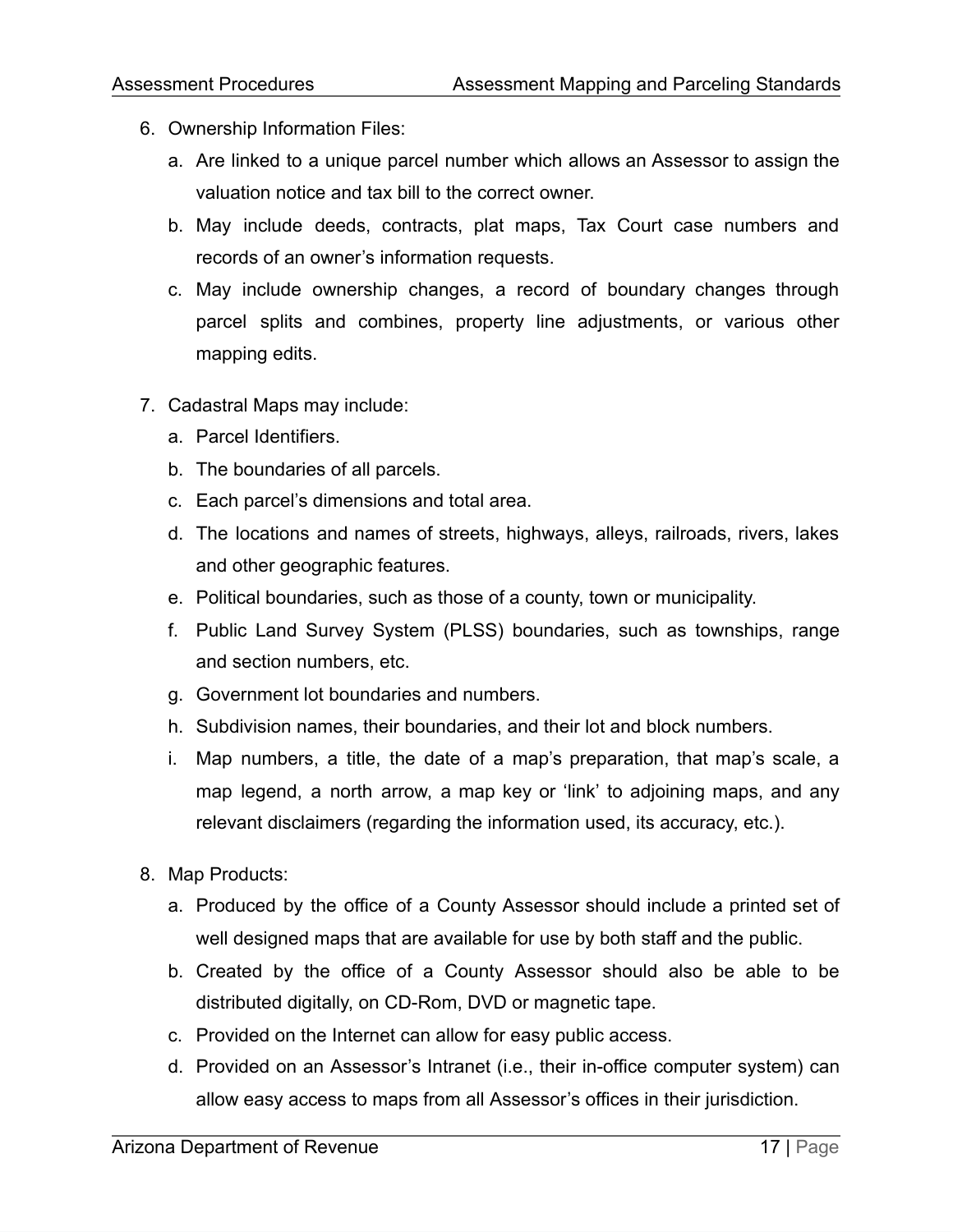- 6. Ownership Information Files:
	- a. Are linked to a unique parcel number which allows an Assessor to assign the valuation notice and tax bill to the correct owner.
	- b. May include deeds, contracts, plat maps, Tax Court case numbers and records of an owner's information requests.
	- c. May include ownership changes, a record of boundary changes through parcel splits and combines, property line adjustments, or various other mapping edits.
- 7. Cadastral Maps may include:
	- a. Parcel Identifiers.
	- b. The boundaries of all parcels.
	- c. Each parcel's dimensions and total area.
	- d. The locations and names of streets, highways, alleys, railroads, rivers, lakes and other geographic features.
	- e. Political boundaries, such as those of a county, town or municipality.
	- f. Public Land Survey System (PLSS) boundaries, such as townships, range and section numbers, etc.
	- g. Government lot boundaries and numbers.
	- h. Subdivision names, their boundaries, and their lot and block numbers.
	- i. Map numbers, a title, the date of a map's preparation, that map's scale, a map legend, a north arrow, a map key or 'link' to adjoining maps, and any relevant disclaimers (regarding the information used, its accuracy, etc.).
- 8. Map Products:
	- a. Produced by the office of a County Assessor should include a printed set of well designed maps that are available for use by both staff and the public.
	- b. Created by the office of a County Assessor should also be able to be distributed digitally, on CD-Rom, DVD or magnetic tape.
	- c. Provided on the Internet can allow for easy public access.
	- d. Provided on an Assessor's Intranet (i.e., their in-office computer system) can allow easy access to maps from all Assessor's offices in their jurisdiction.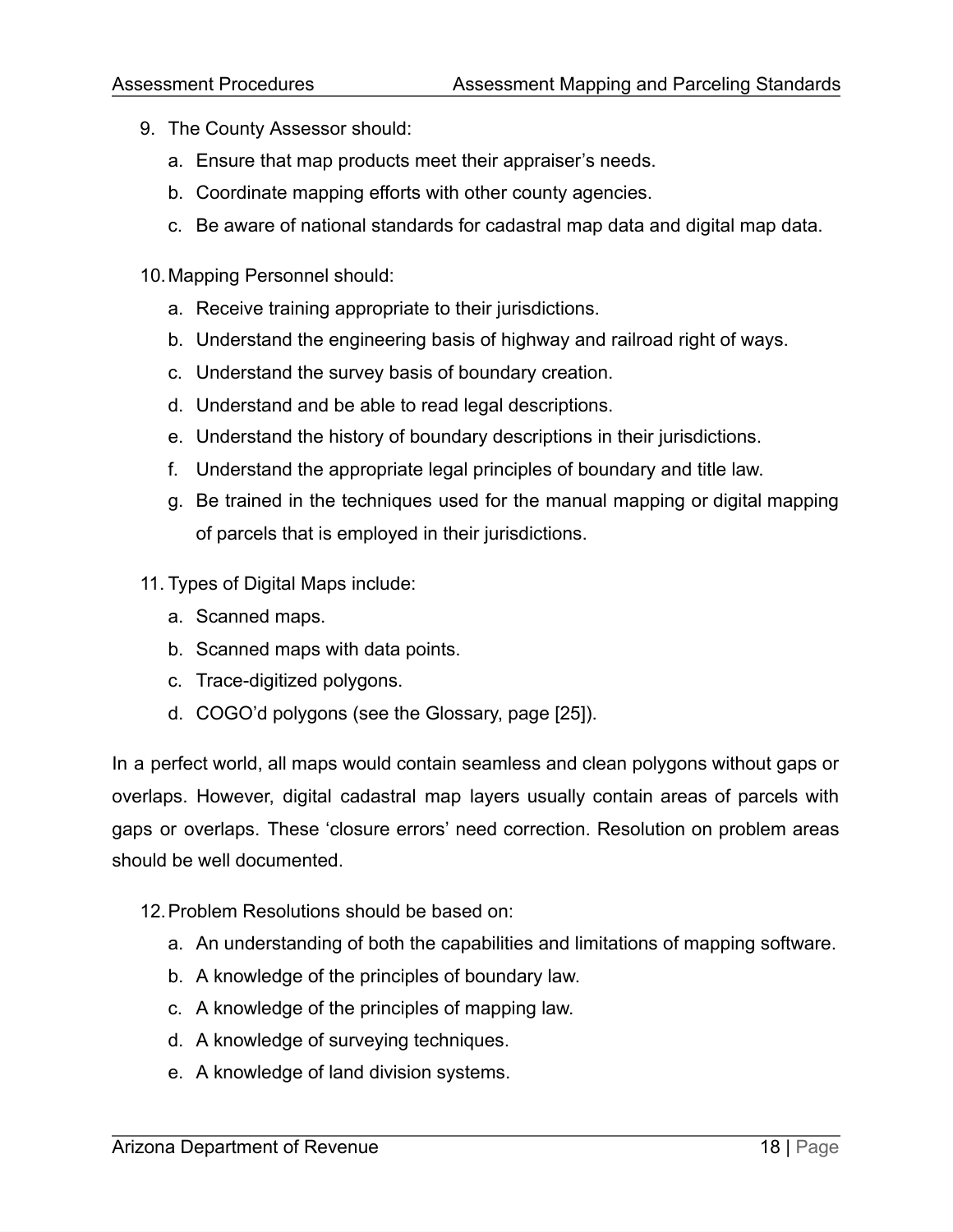- 9. The County Assessor should:
	- a. Ensure that map products meet their appraiser's needs.
	- b. Coordinate mapping efforts with other county agencies.
	- c. Be aware of national standards for cadastral map data and digital map data.
- 10.Mapping Personnel should:
	- a. Receive training appropriate to their jurisdictions.
	- b. Understand the engineering basis of highway and railroad right of ways.
	- c. Understand the survey basis of boundary creation.
	- d. Understand and be able to read legal descriptions.
	- e. Understand the history of boundary descriptions in their jurisdictions.
	- f. Understand the appropriate legal principles of boundary and title law.
	- g. Be trained in the techniques used for the manual mapping or digital mapping of parcels that is employed in their jurisdictions.
- 11. Types of Digital Maps include:
	- a. Scanned maps.
	- b. Scanned maps with data points.
	- c. Trace-digitized polygons.
	- d. COGO'd polygons (see the Glossary, page [25]).

In a perfect world, all maps would contain seamless and clean polygons without gaps or overlaps. However, digital cadastral map layers usually contain areas of parcels with gaps or overlaps. These 'closure errors' need correction. Resolution on problem areas should be well documented.

- 12.Problem Resolutions should be based on:
	- a. An understanding of both the capabilities and limitations of mapping software.
	- b. A knowledge of the principles of boundary law.
	- c. A knowledge of the principles of mapping law.
	- d. A knowledge of surveying techniques.
	- e. A knowledge of land division systems.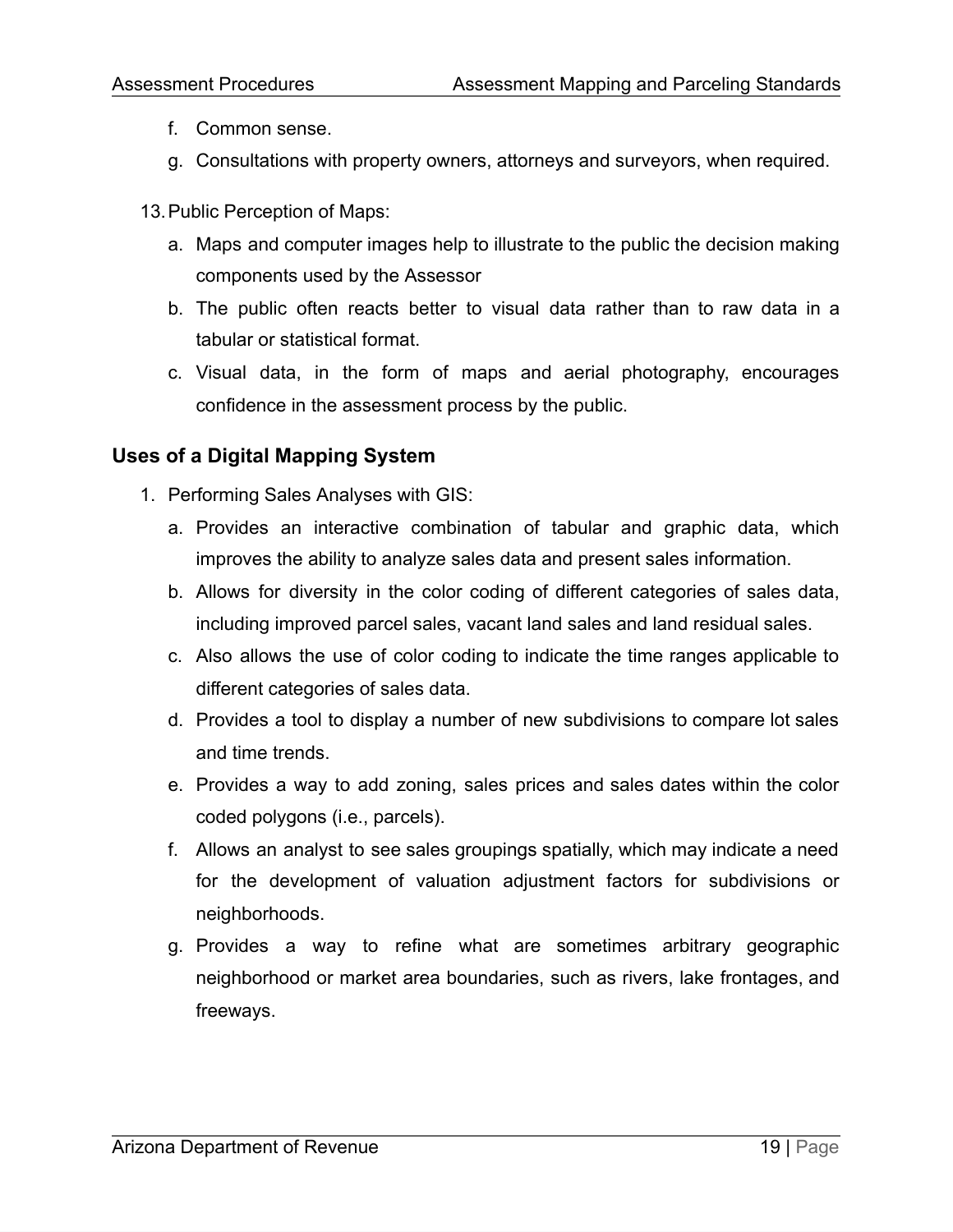- f. Common sense.
- g. Consultations with property owners, attorneys and surveyors, when required.
- 13.Public Perception of Maps:
	- a. Maps and computer images help to illustrate to the public the decision making components used by the Assessor
	- b. The public often reacts better to visual data rather than to raw data in a tabular or statistical format.
	- c. Visual data, in the form of maps and aerial photography, encourages confidence in the assessment process by the public.

## **Uses of a Digital Mapping System**

- 1. Performing Sales Analyses with GIS:
	- a. Provides an interactive combination of tabular and graphic data, which improves the ability to analyze sales data and present sales information.
	- b. Allows for diversity in the color coding of different categories of sales data, including improved parcel sales, vacant land sales and land residual sales.
	- c. Also allows the use of color coding to indicate the time ranges applicable to different categories of sales data.
	- d. Provides a tool to display a number of new subdivisions to compare lot sales and time trends.
	- e. Provides a way to add zoning, sales prices and sales dates within the color coded polygons (i.e., parcels).
	- f. Allows an analyst to see sales groupings spatially, which may indicate a need for the development of valuation adjustment factors for subdivisions or neighborhoods.
	- g. Provides a way to refine what are sometimes arbitrary geographic neighborhood or market area boundaries, such as rivers, lake frontages, and freeways.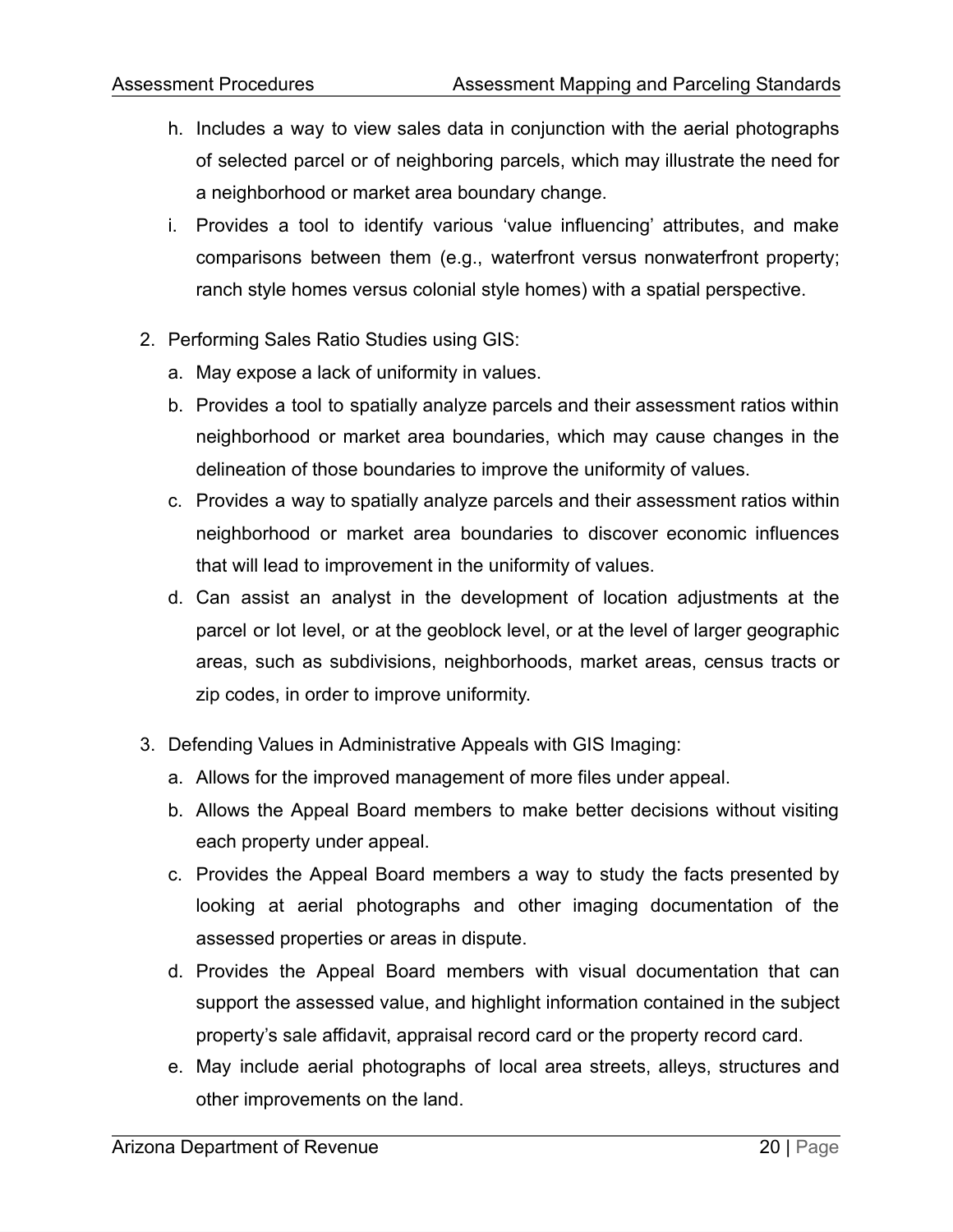- h. Includes a way to view sales data in conjunction with the aerial photographs of selected parcel or of neighboring parcels, which may illustrate the need for a neighborhood or market area boundary change.
- i. Provides a tool to identify various 'value influencing' attributes, and make comparisons between them (e.g., waterfront versus nonwaterfront property; ranch style homes versus colonial style homes) with a spatial perspective.
- 2. Performing Sales Ratio Studies using GIS:
	- a. May expose a lack of uniformity in values.
	- b. Provides a tool to spatially analyze parcels and their assessment ratios within neighborhood or market area boundaries, which may cause changes in the delineation of those boundaries to improve the uniformity of values.
	- c. Provides a way to spatially analyze parcels and their assessment ratios within neighborhood or market area boundaries to discover economic influences that will lead to improvement in the uniformity of values.
	- d. Can assist an analyst in the development of location adjustments at the parcel or lot level, or at the geoblock level, or at the level of larger geographic areas, such as subdivisions, neighborhoods, market areas, census tracts or zip codes, in order to improve uniformity.
- 3. Defending Values in Administrative Appeals with GIS Imaging:
	- a. Allows for the improved management of more files under appeal.
	- b. Allows the Appeal Board members to make better decisions without visiting each property under appeal.
	- c. Provides the Appeal Board members a way to study the facts presented by looking at aerial photographs and other imaging documentation of the assessed properties or areas in dispute.
	- d. Provides the Appeal Board members with visual documentation that can support the assessed value, and highlight information contained in the subject property's sale affidavit, appraisal record card or the property record card.
	- e. May include aerial photographs of local area streets, alleys, structures and other improvements on the land.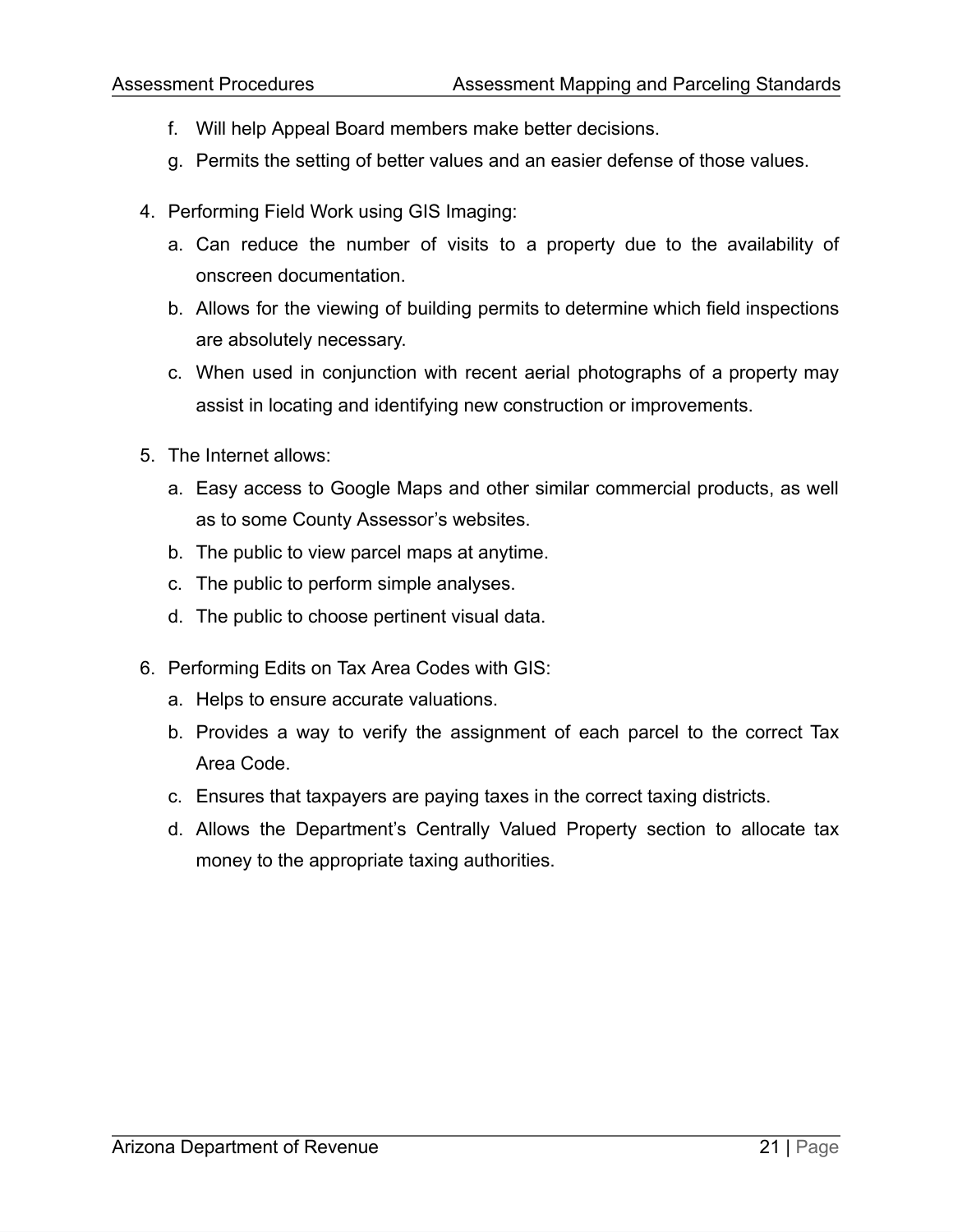- f. Will help Appeal Board members make better decisions.
- g. Permits the setting of better values and an easier defense of those values.
- 4. Performing Field Work using GIS Imaging:
	- a. Can reduce the number of visits to a property due to the availability of onscreen documentation.
	- b. Allows for the viewing of building permits to determine which field inspections are absolutely necessary.
	- c. When used in conjunction with recent aerial photographs of a property may assist in locating and identifying new construction or improvements.
- 5. The Internet allows:
	- a. Easy access to Google Maps and other similar commercial products, as well as to some County Assessor's websites.
	- b. The public to view parcel maps at anytime.
	- c. The public to perform simple analyses.
	- d. The public to choose pertinent visual data.
- 6. Performing Edits on Tax Area Codes with GIS:
	- a. Helps to ensure accurate valuations.
	- b. Provides a way to verify the assignment of each parcel to the correct Tax Area Code.
	- c. Ensures that taxpayers are paying taxes in the correct taxing districts.
	- d. Allows the Department's Centrally Valued Property section to allocate tax money to the appropriate taxing authorities.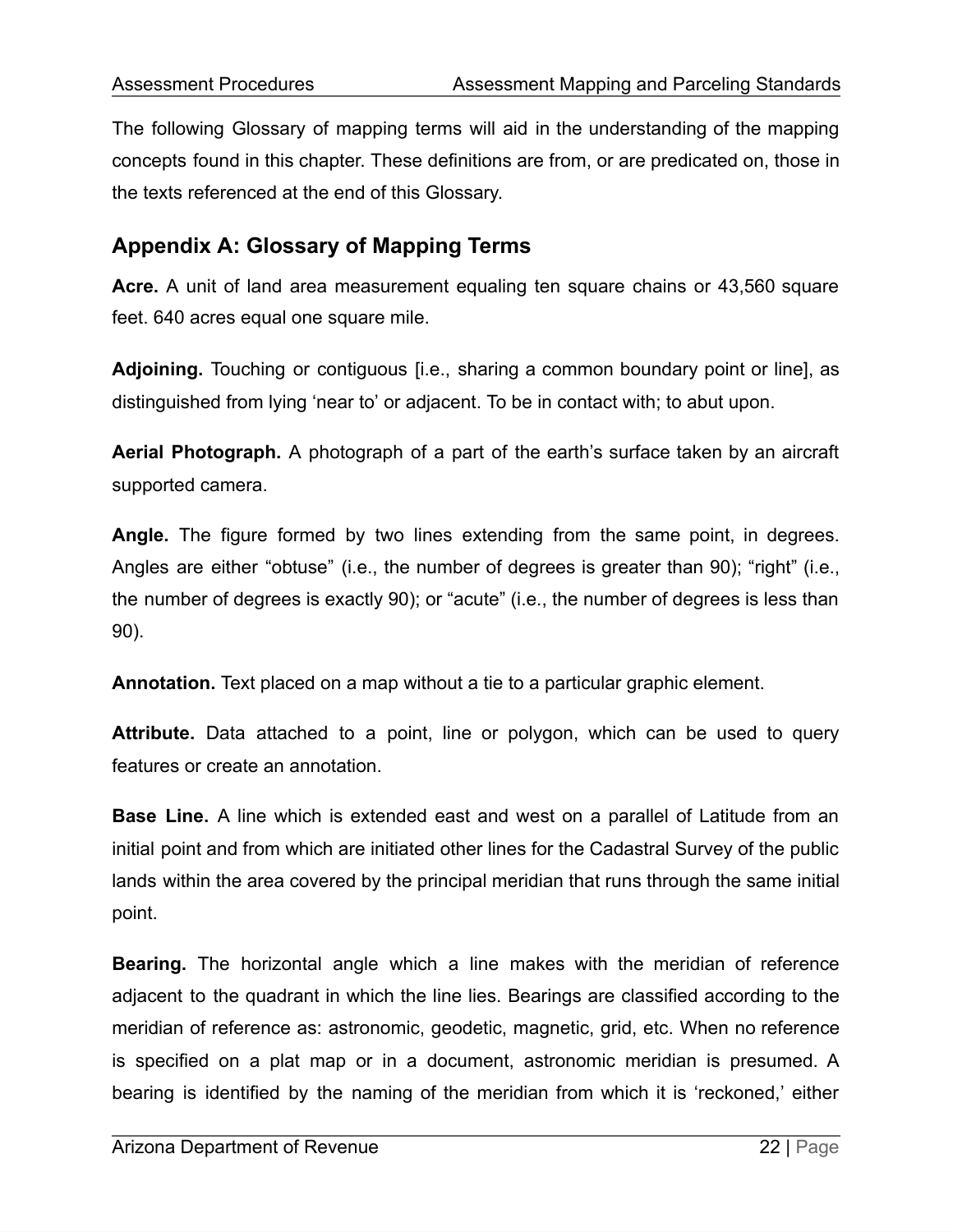The following Glossary of mapping terms will aid in the understanding of the mapping concepts found in this chapter. These definitions are from, or are predicated on, those in the texts referenced at the end of this Glossary.

# **Appendix A: Glossary of Mapping Terms**

**Acre.** A unit of land area measurement equaling ten square chains or 43,560 square feet. 640 acres equal one square mile.

**Adjoining.** Touching or contiguous [i.e., sharing a common boundary point or line], as distinguished from lying 'near to' or adjacent. To be in contact with; to abut upon.

**Aerial Photograph.** A photograph of a part of the earth's surface taken by an aircraft supported camera.

**Angle.** The figure formed by two lines extending from the same point, in degrees. Angles are either "obtuse" (i.e., the number of degrees is greater than 90); "right" (i.e., the number of degrees is exactly 90); or "acute" (i.e., the number of degrees is less than 90).

**Annotation.** Text placed on a map without a tie to a particular graphic element.

**Attribute.** Data attached to a point, line or polygon, which can be used to query features or create an annotation.

**Base Line.** A line which is extended east and west on a parallel of Latitude from an initial point and from which are initiated other lines for the Cadastral Survey of the public lands within the area covered by the principal meridian that runs through the same initial point.

**Bearing.** The horizontal angle which a line makes with the meridian of reference adjacent to the quadrant in which the line lies. Bearings are classified according to the meridian of reference as: astronomic, geodetic, magnetic, grid, etc. When no reference is specified on a plat map or in a document, astronomic meridian is presumed. A bearing is identified by the naming of the meridian from which it is 'reckoned,' either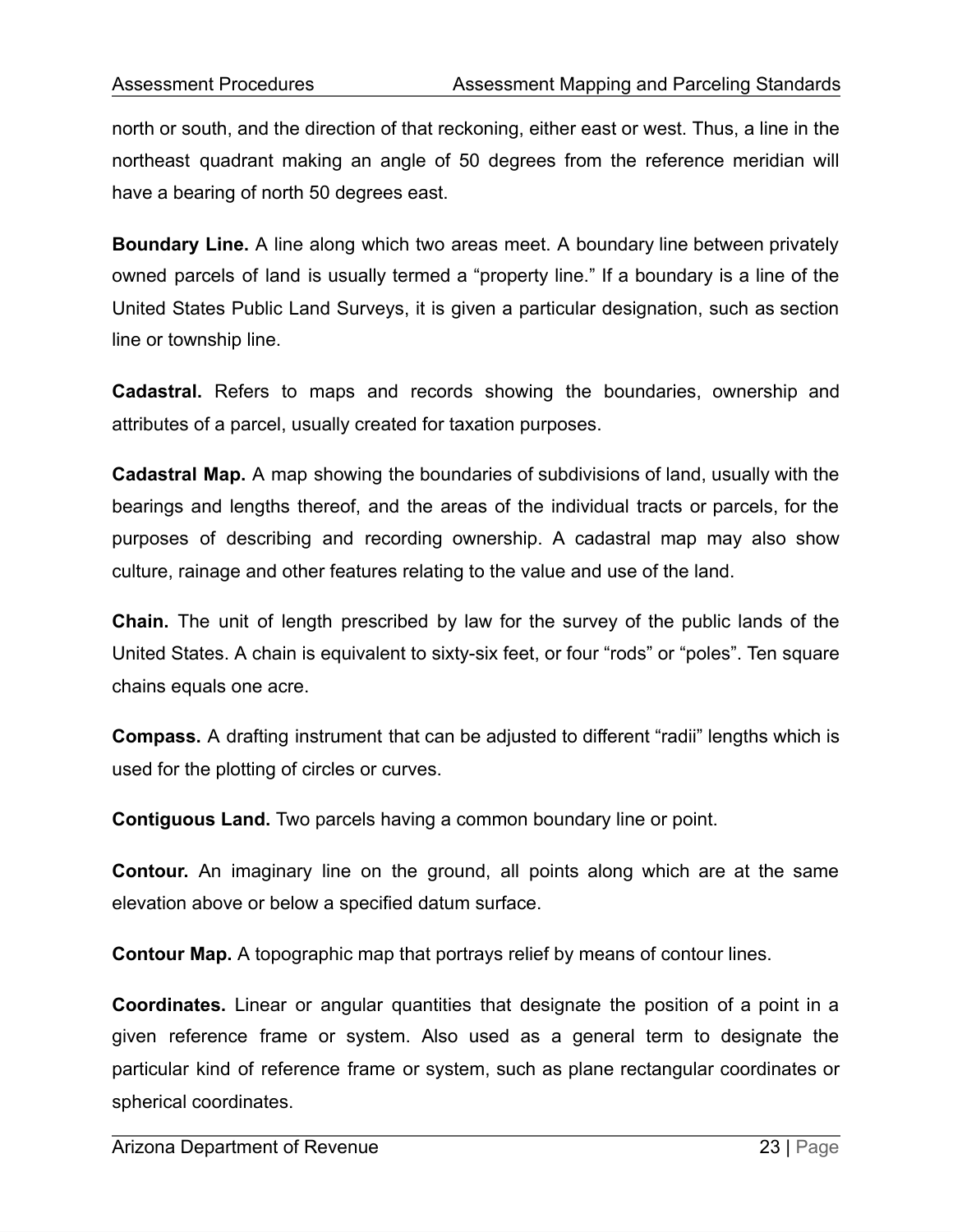north or south, and the direction of that reckoning, either east or west. Thus, a line in the northeast quadrant making an angle of 50 degrees from the reference meridian will have a bearing of north 50 degrees east.

**Boundary Line.** A line along which two areas meet. A boundary line between privately owned parcels of land is usually termed a "property line." If a boundary is a line of the United States Public Land Surveys, it is given a particular designation, such as section line or township line.

**Cadastral.** Refers to maps and records showing the boundaries, ownership and attributes of a parcel, usually created for taxation purposes.

**Cadastral Map.** A map showing the boundaries of subdivisions of land, usually with the bearings and lengths thereof, and the areas of the individual tracts or parcels, for the purposes of describing and recording ownership. A cadastral map may also show culture, rainage and other features relating to the value and use of the land.

**Chain.** The unit of length prescribed by law for the survey of the public lands of the United States. A chain is equivalent to sixty-six feet, or four "rods" or "poles". Ten square chains equals one acre.

**Compass.** A drafting instrument that can be adjusted to different "radii" lengths which is used for the plotting of circles or curves.

**Contiguous Land.** Two parcels having a common boundary line or point.

**Contour.** An imaginary line on the ground, all points along which are at the same elevation above or below a specified datum surface.

**Contour Map.** A topographic map that portrays relief by means of contour lines.

**Coordinates.** Linear or angular quantities that designate the position of a point in a given reference frame or system. Also used as a general term to designate the particular kind of reference frame or system, such as plane rectangular coordinates or spherical coordinates.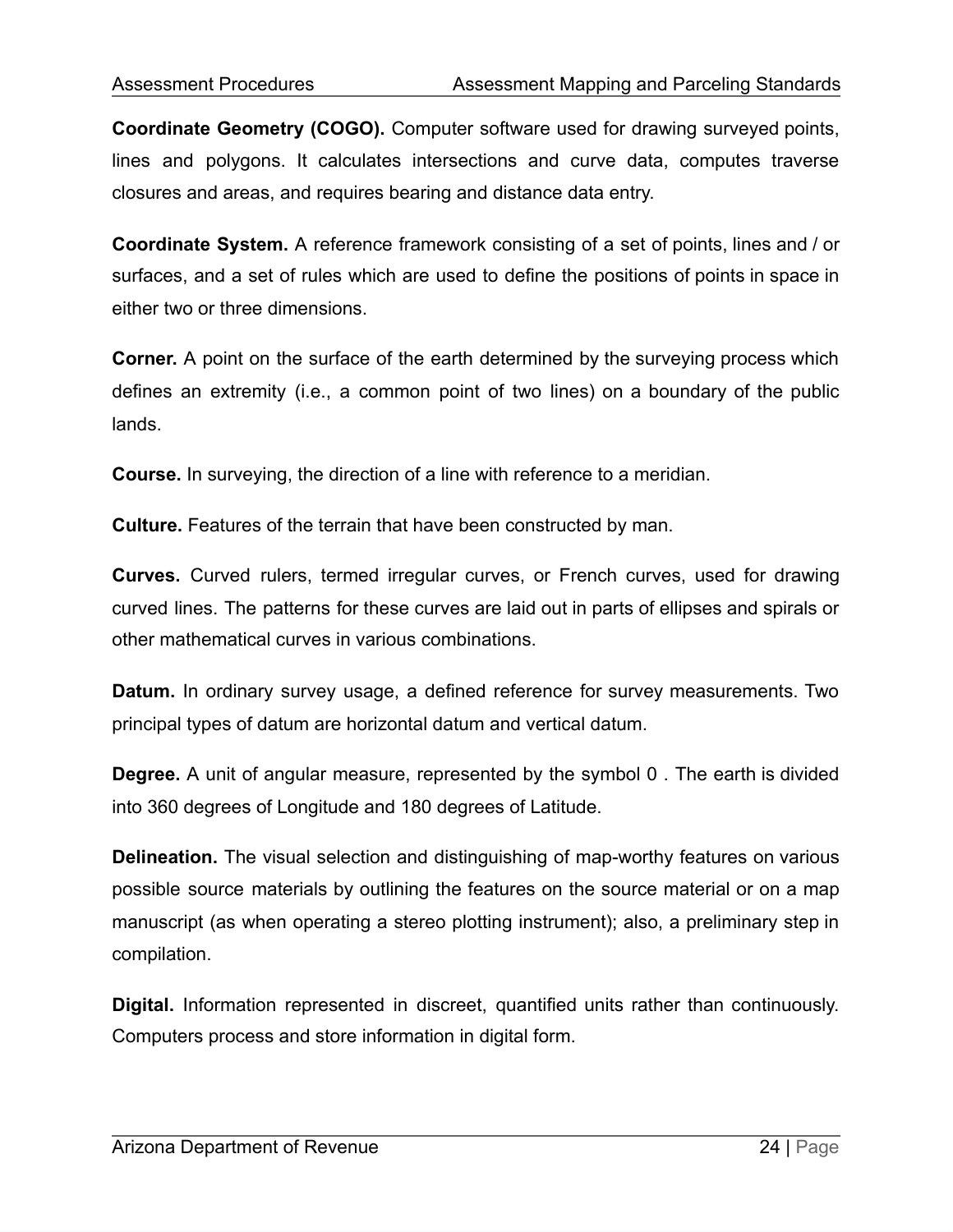**Coordinate Geometry (COGO).** Computer software used for drawing surveyed points, lines and polygons. It calculates intersections and curve data, computes traverse closures and areas, and requires bearing and distance data entry.

**Coordinate System.** A reference framework consisting of a set of points, lines and / or surfaces, and a set of rules which are used to define the positions of points in space in either two or three dimensions.

**Corner.** A point on the surface of the earth determined by the surveying process which defines an extremity (i.e., a common point of two lines) on a boundary of the public lands.

**Course.** In surveying, the direction of a line with reference to a meridian.

**Culture.** Features of the terrain that have been constructed by man.

**Curves.** Curved rulers, termed irregular curves, or French curves, used for drawing curved lines. The patterns for these curves are laid out in parts of ellipses and spirals or other mathematical curves in various combinations.

**Datum.** In ordinary survey usage, a defined reference for survey measurements. Two principal types of datum are horizontal datum and vertical datum.

**Degree.** A unit of angular measure, represented by the symbol 0. The earth is divided into 360 degrees of Longitude and 180 degrees of Latitude.

**Delineation.** The visual selection and distinguishing of map-worthy features on various possible source materials by outlining the features on the source material or on a map manuscript (as when operating a stereo plotting instrument); also, a preliminary step in compilation.

**Digital.** Information represented in discreet, quantified units rather than continuously. Computers process and store information in digital form.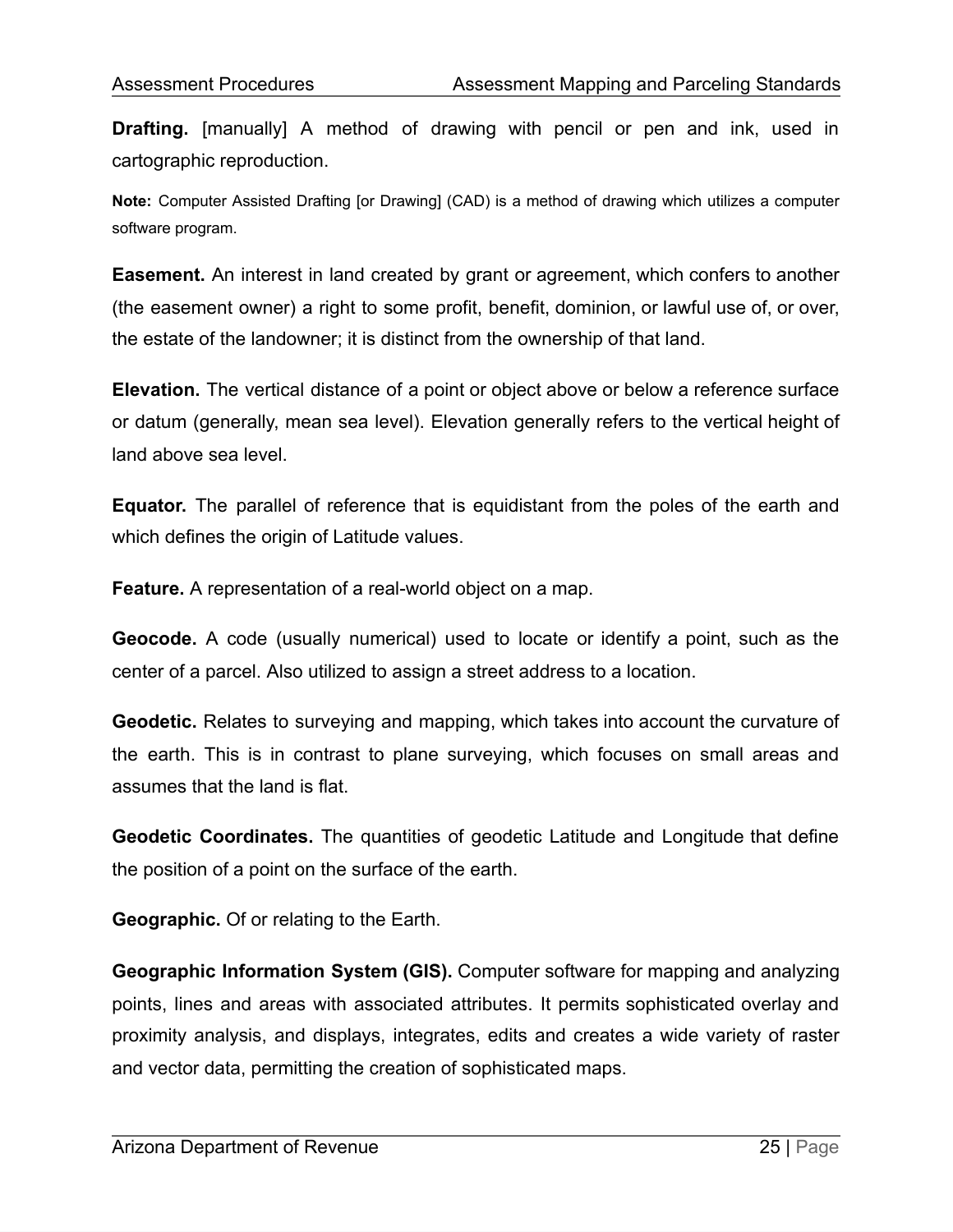**Drafting.** [manually] A method of drawing with pencil or pen and ink, used in cartographic reproduction.

**Note:** Computer Assisted Drafting [or Drawing] (CAD) is a method of drawing which utilizes a computer software program.

**Easement.** An interest in land created by grant or agreement, which confers to another (the easement owner) a right to some profit, benefit, dominion, or lawful use of, or over, the estate of the landowner; it is distinct from the ownership of that land.

**Elevation.** The vertical distance of a point or object above or below a reference surface or datum (generally, mean sea level). Elevation generally refers to the vertical height of land above sea level.

**Equator.** The parallel of reference that is equidistant from the poles of the earth and which defines the origin of Latitude values.

**Feature.** A representation of a real-world object on a map.

**Geocode.** A code (usually numerical) used to locate or identify a point, such as the center of a parcel. Also utilized to assign a street address to a location.

**Geodetic.** Relates to surveying and mapping, which takes into account the curvature of the earth. This is in contrast to plane surveying, which focuses on small areas and assumes that the land is flat.

**Geodetic Coordinates.** The quantities of geodetic Latitude and Longitude that define the position of a point on the surface of the earth.

**Geographic.** Of or relating to the Earth.

**Geographic Information System (GIS).** Computer software for mapping and analyzing points, lines and areas with associated attributes. It permits sophisticated overlay and proximity analysis, and displays, integrates, edits and creates a wide variety of raster and vector data, permitting the creation of sophisticated maps.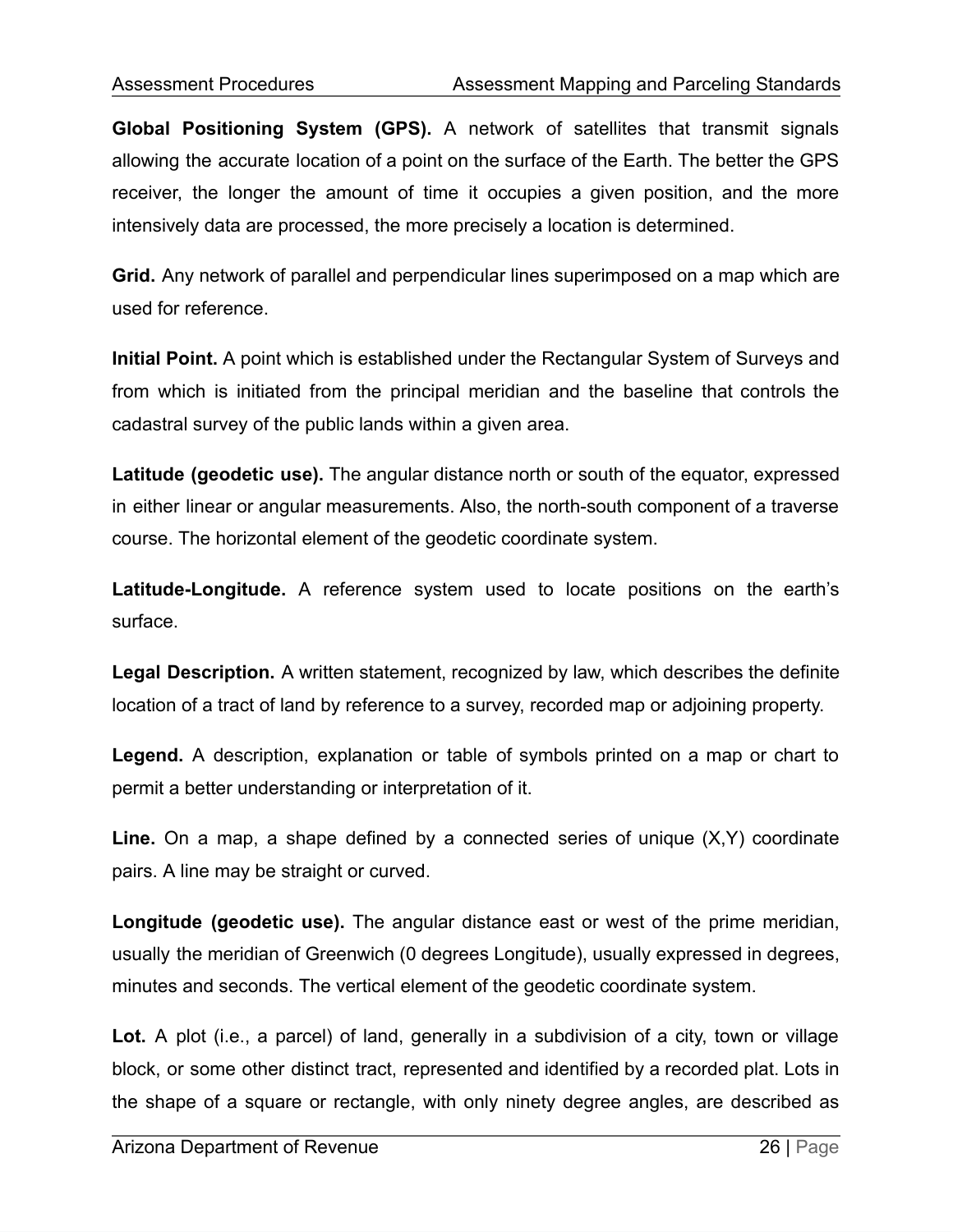**Global Positioning System (GPS).** A network of satellites that transmit signals allowing the accurate location of a point on the surface of the Earth. The better the GPS receiver, the longer the amount of time it occupies a given position, and the more intensively data are processed, the more precisely a location is determined.

**Grid.** Any network of parallel and perpendicular lines superimposed on a map which are used for reference.

**Initial Point.** A point which is established under the Rectangular System of Surveys and from which is initiated from the principal meridian and the baseline that controls the cadastral survey of the public lands within a given area.

**Latitude (geodetic use).** The angular distance north or south of the equator, expressed in either linear or angular measurements. Also, the north-south component of a traverse course. The horizontal element of the geodetic coordinate system.

**Latitude-Longitude.** A reference system used to locate positions on the earth's surface.

**Legal Description.** A written statement, recognized by law, which describes the definite location of a tract of land by reference to a survey, recorded map or adjoining property.

**Legend.** A description, explanation or table of symbols printed on a map or chart to permit a better understanding or interpretation of it.

**Line.** On a map, a shape defined by a connected series of unique (X,Y) coordinate pairs. A line may be straight or curved.

**Longitude (geodetic use).** The angular distance east or west of the prime meridian, usually the meridian of Greenwich (0 degrees Longitude), usually expressed in degrees, minutes and seconds. The vertical element of the geodetic coordinate system.

**Lot.** A plot (i.e., a parcel) of land, generally in a subdivision of a city, town or village block, or some other distinct tract, represented and identified by a recorded plat. Lots in the shape of a square or rectangle, with only ninety degree angles, are described as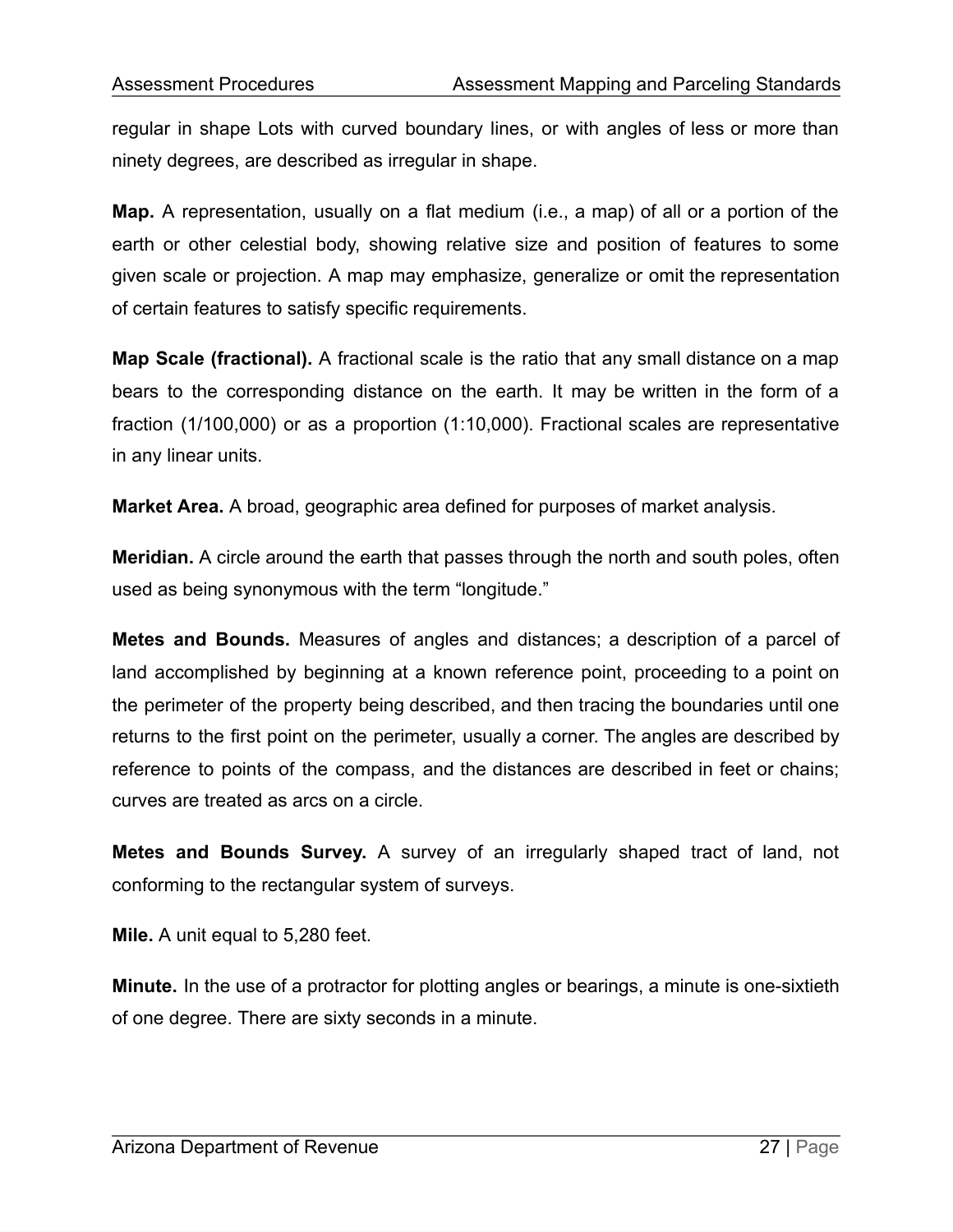regular in shape Lots with curved boundary lines, or with angles of less or more than ninety degrees, are described as irregular in shape.

**Map.** A representation, usually on a flat medium (i.e., a map) of all or a portion of the earth or other celestial body, showing relative size and position of features to some given scale or projection. A map may emphasize, generalize or omit the representation of certain features to satisfy specific requirements.

**Map Scale (fractional).** A fractional scale is the ratio that any small distance on a map bears to the corresponding distance on the earth. It may be written in the form of a fraction (1/100,000) or as a proportion (1:10,000). Fractional scales are representative in any linear units.

**Market Area.** A broad, geographic area defined for purposes of market analysis.

**Meridian.** A circle around the earth that passes through the north and south poles, often used as being synonymous with the term "longitude."

**Metes and Bounds.** Measures of angles and distances; a description of a parcel of land accomplished by beginning at a known reference point, proceeding to a point on the perimeter of the property being described, and then tracing the boundaries until one returns to the first point on the perimeter, usually a corner. The angles are described by reference to points of the compass, and the distances are described in feet or chains; curves are treated as arcs on a circle.

**Metes and Bounds Survey.** A survey of an irregularly shaped tract of land, not conforming to the rectangular system of surveys.

**Mile.** A unit equal to 5,280 feet.

**Minute.** In the use of a protractor for plotting angles or bearings, a minute is one-sixtieth of one degree. There are sixty seconds in a minute.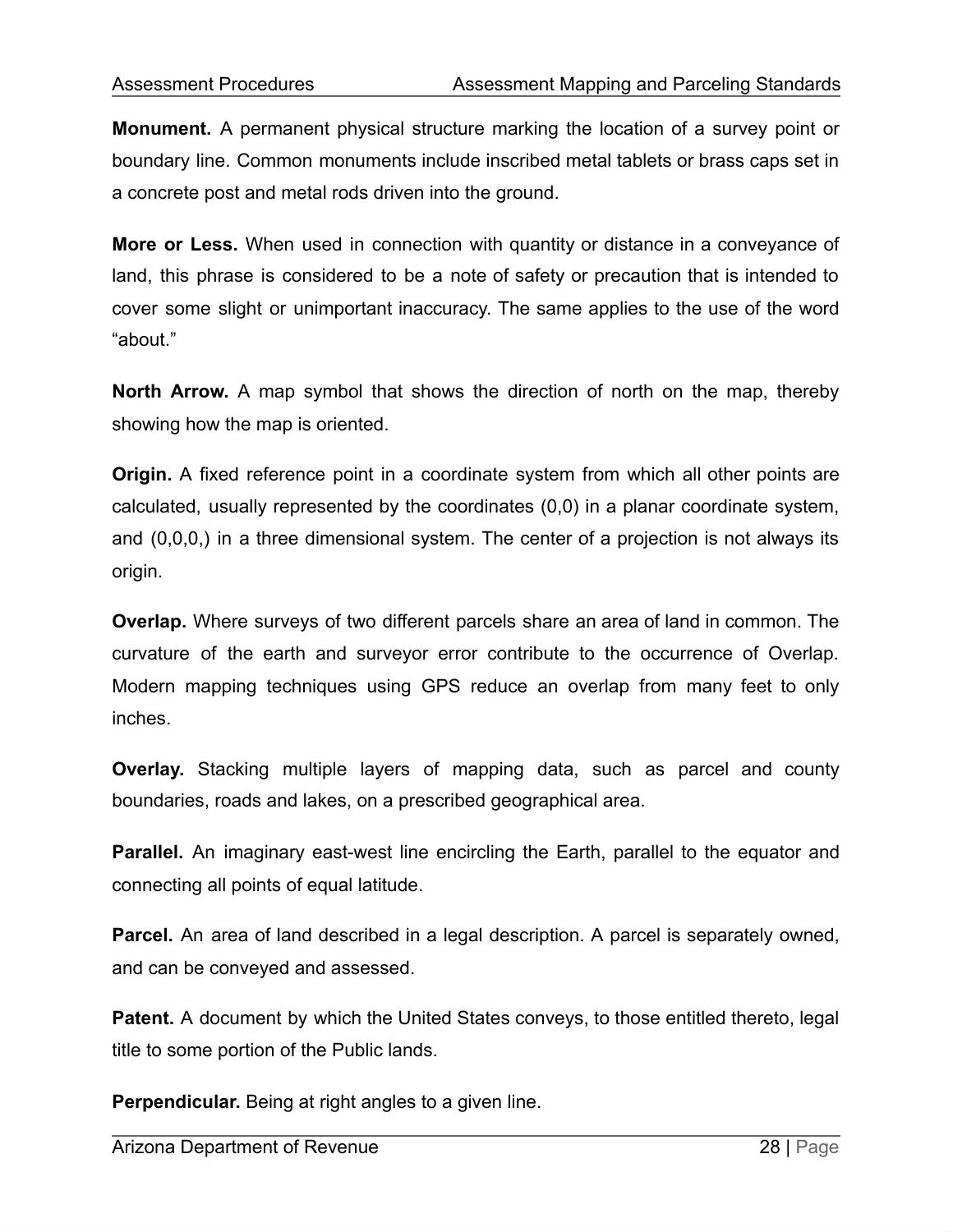**Monument.** A permanent physical structure marking the location of a survey point or boundary line. Common monuments include inscribed metal tablets or brass caps set in a concrete post and metal rods driven into the ground.

**More or Less.** When used in connection with quantity or distance in a conveyance of land, this phrase is considered to be a note of safety or precaution that is intended to cover some slight or unimportant inaccuracy. The same applies to the use of the word "about."

**North Arrow.** A map symbol that shows the direction of north on the map, thereby showing how the map is oriented.

**Origin.** A fixed reference point in a coordinate system from which all other points are calculated, usually represented by the coordinates (0,0) in a planar coordinate system, and (0,0,0,) in a three dimensional system. The center of a projection is not always its origin.

**Overlap.** Where surveys of two different parcels share an area of land in common. The curvature of the earth and surveyor error contribute to the occurrence of Overlap. Modern mapping techniques using GPS reduce an overlap from many feet to only inches.

**Overlay.** Stacking multiple layers of mapping data, such as parcel and county boundaries, roads and lakes, on a prescribed geographical area.

**Parallel.** An imaginary east-west line encircling the Earth, parallel to the equator and connecting all points of equal latitude.

**Parcel.** An area of land described in a legal description. A parcel is separately owned, and can be conveyed and assessed.

**Patent.** A document by which the United States conveys, to those entitled thereto, legal title to some portion of the Public lands.

**Perpendicular.** Being at right angles to a given line.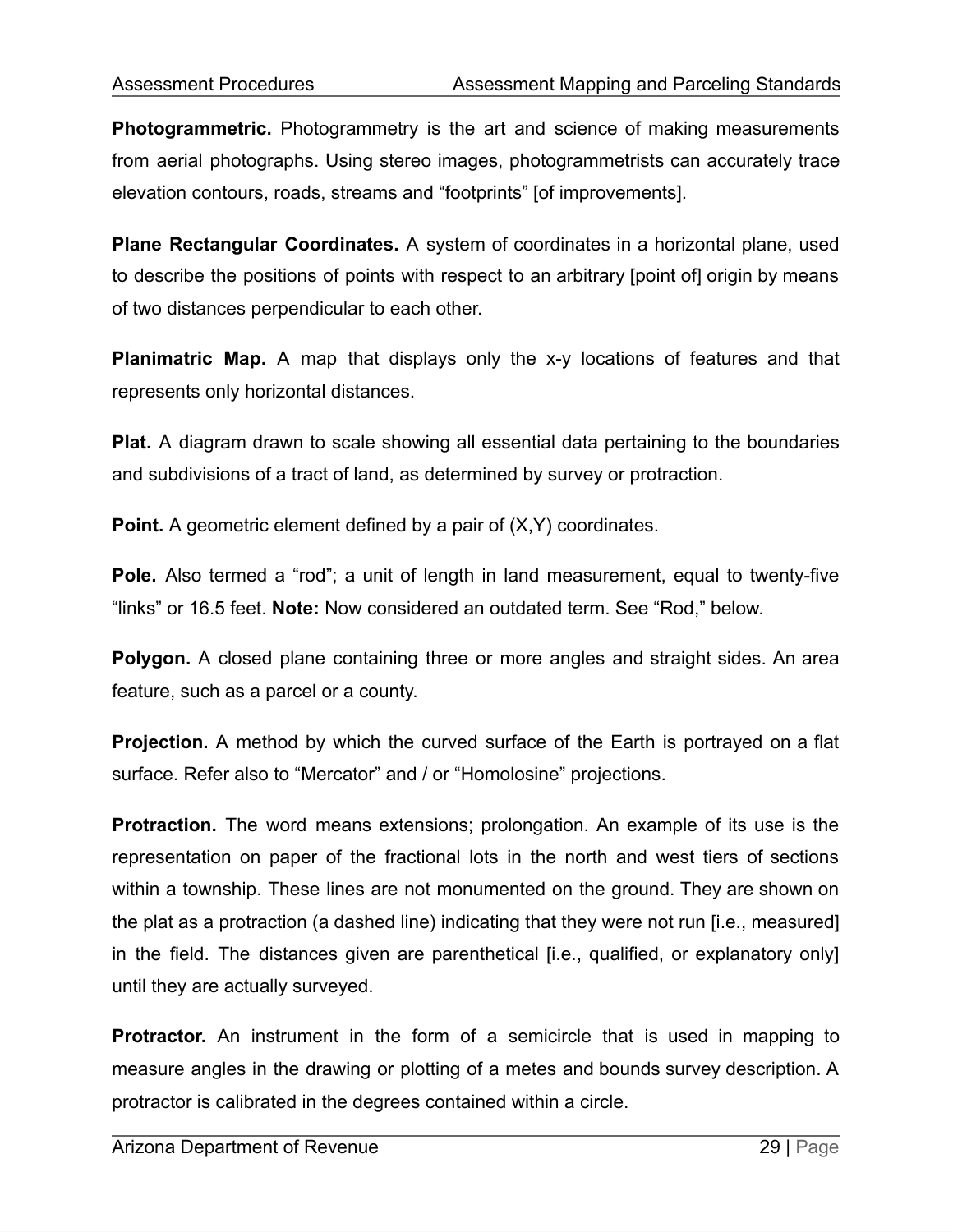**Photogrammetric.** Photogrammetry is the art and science of making measurements from aerial photographs. Using stereo images, photogrammetrists can accurately trace elevation contours, roads, streams and "footprints" [of improvements].

**Plane Rectangular Coordinates.** A system of coordinates in a horizontal plane, used to describe the positions of points with respect to an arbitrary [point of] origin by means of two distances perpendicular to each other.

**Planimatric Map.** A map that displays only the x-y locations of features and that represents only horizontal distances.

**Plat.** A diagram drawn to scale showing all essential data pertaining to the boundaries and subdivisions of a tract of land, as determined by survey or protraction.

**Point.** A geometric element defined by a pair of  $(X, Y)$  coordinates.

**Pole.** Also termed a "rod"; a unit of length in land measurement, equal to twenty-five "links" or 16.5 feet. **Note:** Now considered an outdated term. See "Rod," below.

**Polygon.** A closed plane containing three or more angles and straight sides. An area feature, such as a parcel or a county.

**Projection.** A method by which the curved surface of the Earth is portrayed on a flat surface. Refer also to "Mercator" and / or "Homolosine" projections.

**Protraction.** The word means extensions; prolongation. An example of its use is the representation on paper of the fractional lots in the north and west tiers of sections within a township. These lines are not monumented on the ground. They are shown on the plat as a protraction (a dashed line) indicating that they were not run [i.e., measured] in the field. The distances given are parenthetical [i.e., qualified, or explanatory only] until they are actually surveyed.

**Protractor.** An instrument in the form of a semicircle that is used in mapping to measure angles in the drawing or plotting of a metes and bounds survey description. A protractor is calibrated in the degrees contained within a circle.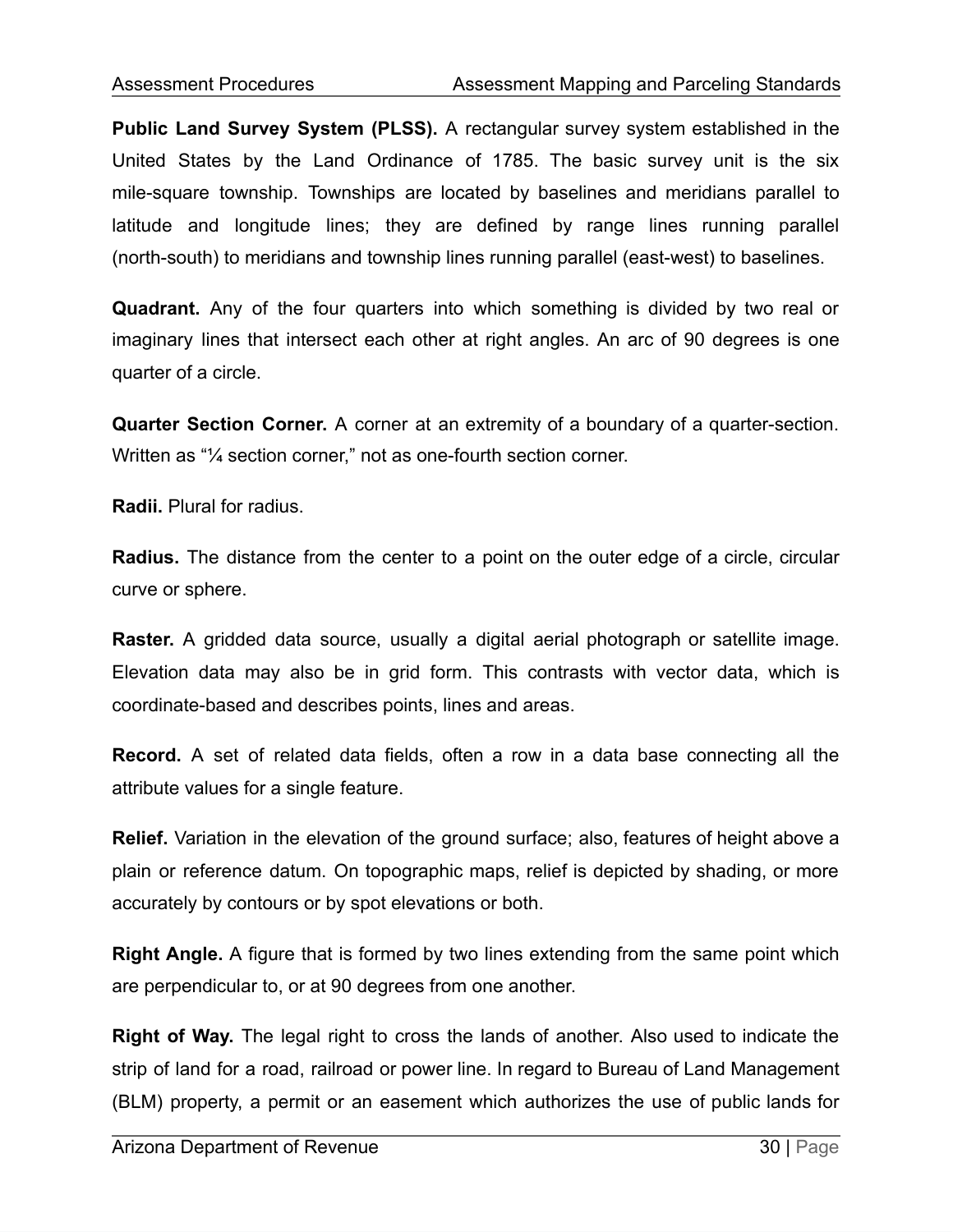**Public Land Survey System (PLSS).** A rectangular survey system established in the United States by the Land Ordinance of 1785. The basic survey unit is the six mile-square township. Townships are located by baselines and meridians parallel to latitude and longitude lines; they are defined by range lines running parallel (north-south) to meridians and township lines running parallel (east-west) to baselines.

**Quadrant.** Any of the four quarters into which something is divided by two real or imaginary lines that intersect each other at right angles. An arc of 90 degrees is one quarter of a circle.

**Quarter Section Corner.** A corner at an extremity of a boundary of a quarter-section. Written as "¼ section corner," not as one-fourth section corner.

**Radii.** Plural for radius.

**Radius.** The distance from the center to a point on the outer edge of a circle, circular curve or sphere.

**Raster.** A gridded data source, usually a digital aerial photograph or satellite image. Elevation data may also be in grid form. This contrasts with vector data, which is coordinate-based and describes points, lines and areas.

**Record.** A set of related data fields, often a row in a data base connecting all the attribute values for a single feature.

**Relief.** Variation in the elevation of the ground surface; also, features of height above a plain or reference datum. On topographic maps, relief is depicted by shading, or more accurately by contours or by spot elevations or both.

**Right Angle.** A figure that is formed by two lines extending from the same point which are perpendicular to, or at 90 degrees from one another.

**Right of Way.** The legal right to cross the lands of another. Also used to indicate the strip of land for a road, railroad or power line. In regard to Bureau of Land Management (BLM) property, a permit or an easement which authorizes the use of public lands for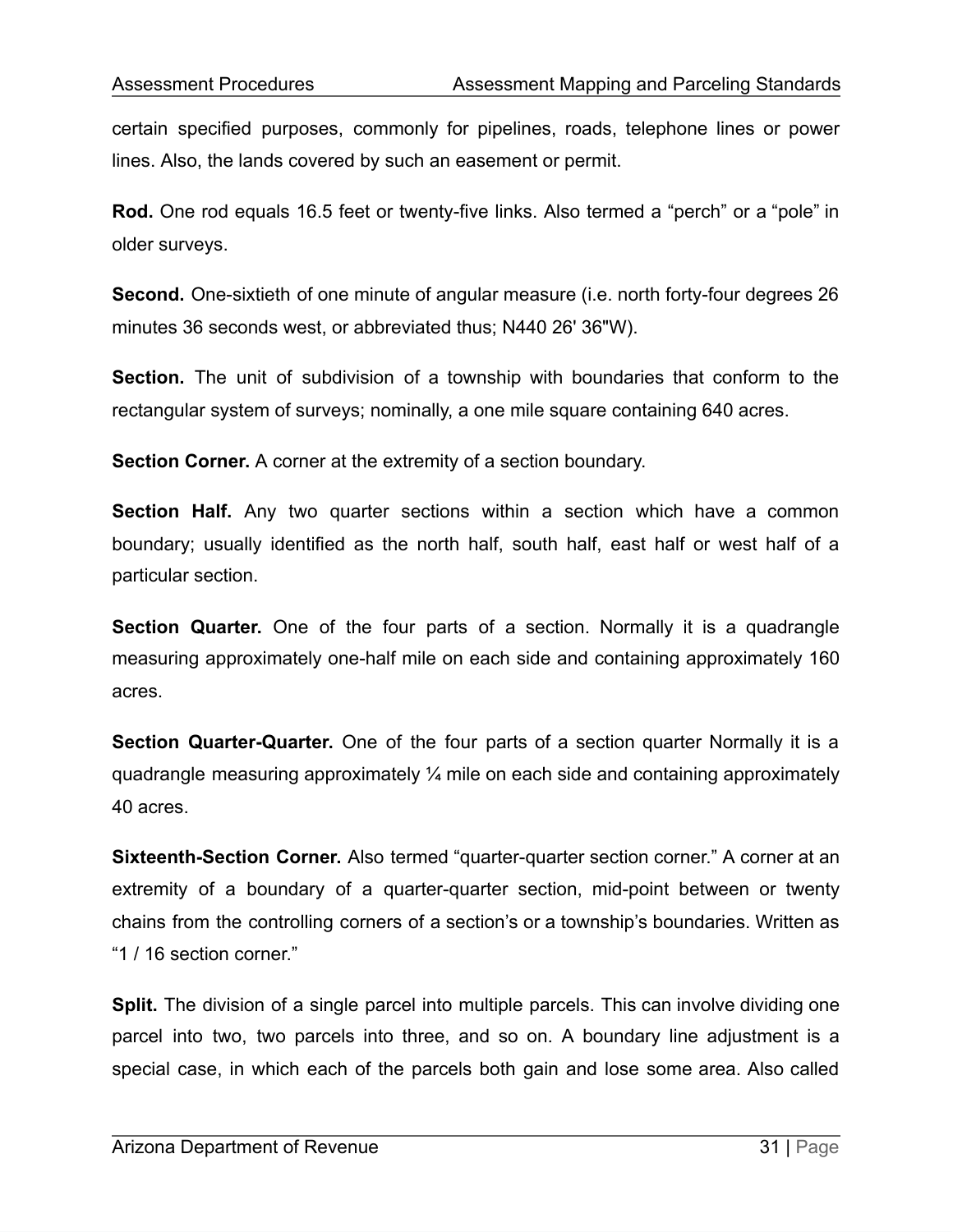certain specified purposes, commonly for pipelines, roads, telephone lines or power lines. Also, the lands covered by such an easement or permit.

**Rod.** One rod equals 16.5 feet or twenty-five links. Also termed a "perch" or a "pole" in older surveys.

**Second.** One-sixtieth of one minute of angular measure (i.e. north forty-four degrees 26 minutes 36 seconds west, or abbreviated thus; N440 26' 36"W).

**Section.** The unit of subdivision of a township with boundaries that conform to the rectangular system of surveys; nominally, a one mile square containing 640 acres.

**Section Corner.** A corner at the extremity of a section boundary.

**Section Half.** Any two quarter sections within a section which have a common boundary; usually identified as the north half, south half, east half or west half of a particular section.

**Section Quarter.** One of the four parts of a section. Normally it is a quadrangle measuring approximately one-half mile on each side and containing approximately 160 acres.

**Section Quarter-Quarter.** One of the four parts of a section quarter Normally it is a quadrangle measuring approximately ¼ mile on each side and containing approximately 40 acres.

**Sixteenth-Section Corner.** Also termed "quarter-quarter section corner." A corner at an extremity of a boundary of a quarter-quarter section, mid-point between or twenty chains from the controlling corners of a section's or a township's boundaries. Written as "1 / 16 section corner."

**Split.** The division of a single parcel into multiple parcels. This can involve dividing one parcel into two, two parcels into three, and so on. A boundary line adjustment is a special case, in which each of the parcels both gain and lose some area. Also called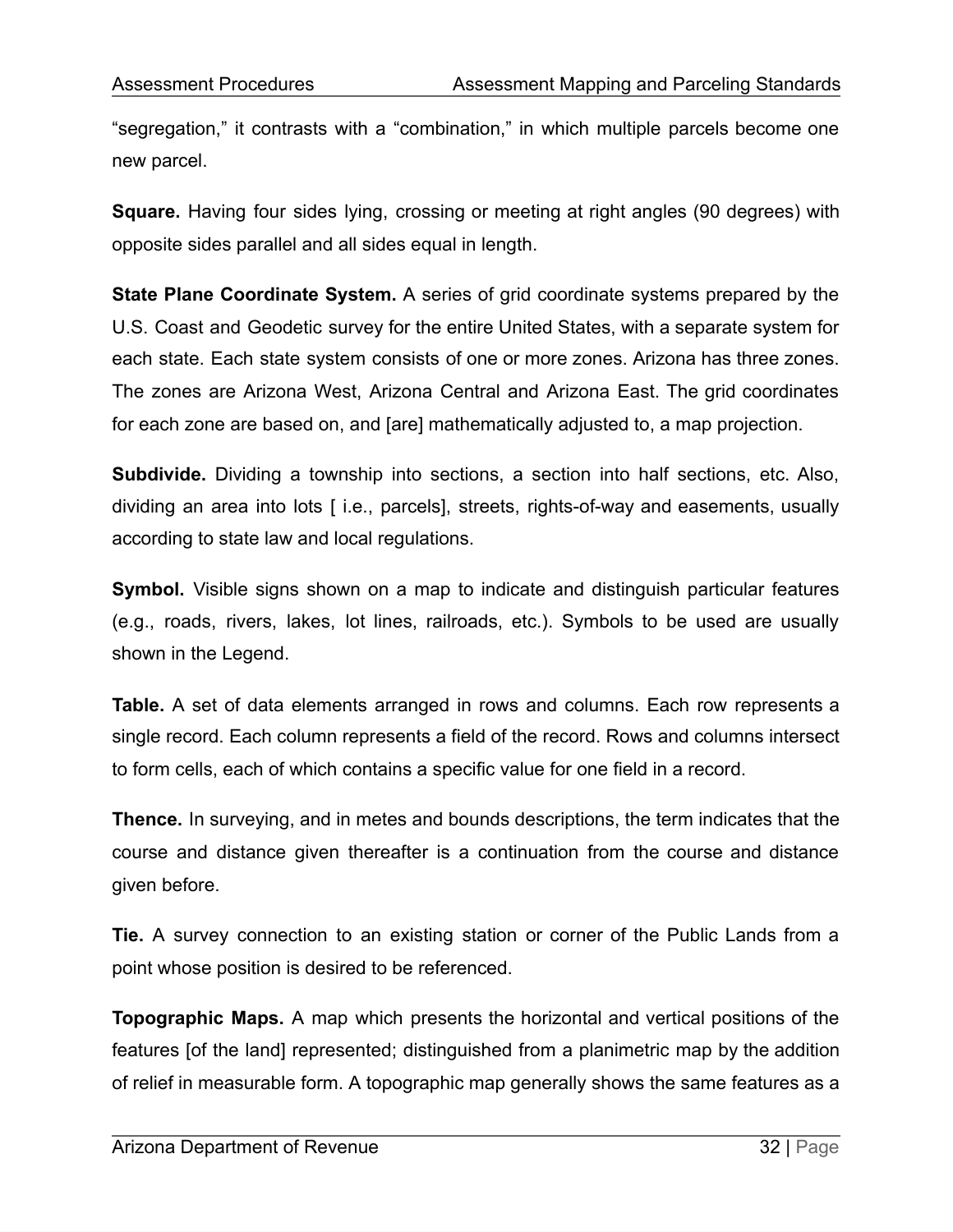"segregation," it contrasts with a "combination," in which multiple parcels become one new parcel.

**Square.** Having four sides lying, crossing or meeting at right angles (90 degrees) with opposite sides parallel and all sides equal in length.

**State Plane Coordinate System.** A series of grid coordinate systems prepared by the U.S. Coast and Geodetic survey for the entire United States, with a separate system for each state. Each state system consists of one or more zones. Arizona has three zones. The zones are Arizona West, Arizona Central and Arizona East. The grid coordinates for each zone are based on, and [are] mathematically adjusted to, a map projection.

**Subdivide.** Dividing a township into sections, a section into half sections, etc. Also, dividing an area into lots [ i.e., parcels], streets, rights-of-way and easements, usually according to state law and local regulations.

**Symbol.** Visible signs shown on a map to indicate and distinguish particular features (e.g., roads, rivers, lakes, lot lines, railroads, etc.). Symbols to be used are usually shown in the Legend.

**Table.** A set of data elements arranged in rows and columns. Each row represents a single record. Each column represents a field of the record. Rows and columns intersect to form cells, each of which contains a specific value for one field in a record.

**Thence.** In surveying, and in metes and bounds descriptions, the term indicates that the course and distance given thereafter is a continuation from the course and distance given before.

**Tie.** A survey connection to an existing station or corner of the Public Lands from a point whose position is desired to be referenced.

**Topographic Maps.** A map which presents the horizontal and vertical positions of the features [of the land] represented; distinguished from a planimetric map by the addition of relief in measurable form. A topographic map generally shows the same features as a